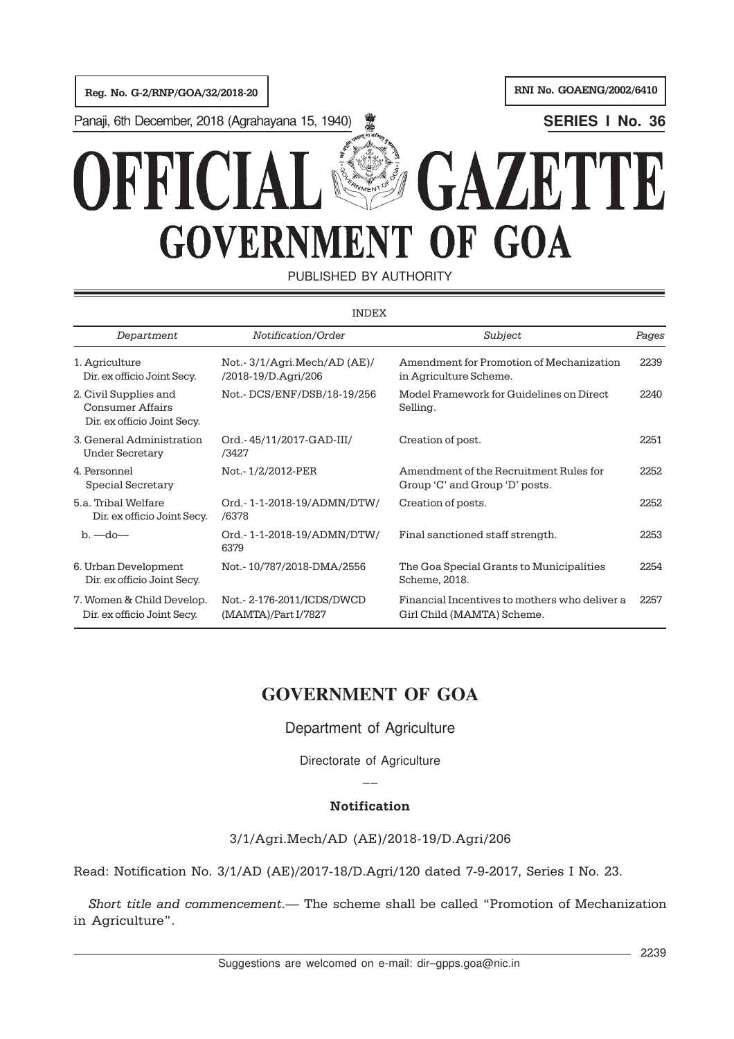Panaji, 6th December, 2018 (Agrahayana 15, 1940) **SERIES I No. 36**

# GAZETTE **RFIC GOVERNMENT OF GOA**

PUBLISHED BY AUTHORITY

| <b>INDEX</b>                                                                    |                                                    |                                                                             |       |  |
|---------------------------------------------------------------------------------|----------------------------------------------------|-----------------------------------------------------------------------------|-------|--|
| Department                                                                      | Notification/Order                                 | Subject                                                                     | Pages |  |
| 1. Agriculture<br>Dir. ex officio Joint Secy.                                   | Not.-3/1/Agri.Mech/AD (AE)/<br>/2018-19/D.Agri/206 | Amendment for Promotion of Mechanization<br>in Agriculture Scheme.          | 2239  |  |
| 2. Civil Supplies and<br><b>Consumer Affairs</b><br>Dir. ex officio Joint Secy. | Not.-DCS/ENF/DSB/18-19/256                         | Model Framework for Guidelines on Direct<br>Selling.                        | 2240  |  |
| 3. General Administration<br><b>Under Secretary</b>                             | Ord.-45/11/2017-GAD-III/<br>/3427                  | Creation of post.                                                           | 2251  |  |
| 4. Personnel<br>Special Secretary                                               | Not. - 1/2/2012-PER                                | Amendment of the Recruitment Rules for<br>Group 'C' and Group 'D' posts.    | 2252  |  |
| 5.a. Tribal Welfare<br>Dir. ex officio Joint Secy.                              | Ord.-1-1-2018-19/ADMN/DTW/<br>/6378                | Creation of posts.                                                          | 22.52 |  |
| $b. - do -$                                                                     | Ord.-1-1-2018-19/ADMN/DTW/<br>6379                 | Final sanctioned staff strength.                                            | 2253  |  |
| 6. Urban Development<br>Dir. ex officio Joint Secy.                             | Not.-10/787/2018-DMA/2556                          | The Goa Special Grants to Municipalities<br>Scheme, 2018.                   | 2254  |  |
| 7. Women & Child Develop.<br>Dir. ex officio Joint Secy.                        | Not.- 2-176-2011/ICDS/DWCD<br>(MAMTA)/Part I/7827  | Financial Incentives to mothers who deliver a<br>Girl Child (MAMTA) Scheme. | 2257  |  |

# **GOVERNMENT OF GOA**

# Department of Agriculture

Directorate of Agriculture

 $\overline{a}$ 

# Notification

3/1/Agri.Mech/AD (AE)/2018-19/D.Agri/206

Read: Notification No. 3/1/AD (AE)/2017-18/D.Agri/120 dated 7-9-2017, Series I No. 23.

Short title and commencement.— The scheme shall be called "Promotion of Mechanization in Agriculture".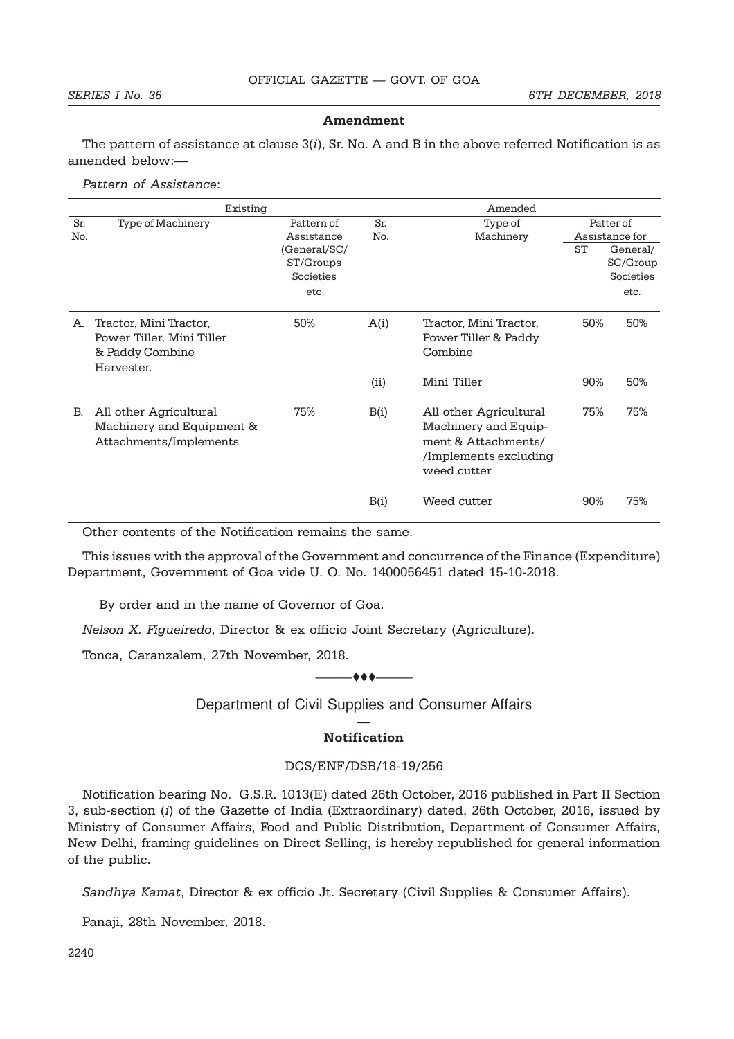#### Amendment

The pattern of assistance at clause  $3(i)$ , Sr. No. A and B in the above referred Notification is as amended below:—

Pattern of Assistance:

|            | Existing                                                                             |                                                |            | Amended                                                                                                       |           |                                           |
|------------|--------------------------------------------------------------------------------------|------------------------------------------------|------------|---------------------------------------------------------------------------------------------------------------|-----------|-------------------------------------------|
| Sr.<br>No. | Type of Machinery                                                                    | Pattern of<br>Assistance                       | Sr.<br>No. | Type of<br>Machinery                                                                                          |           | Patter of<br>Assistance for               |
|            |                                                                                      | (General/SC/<br>ST/Groups<br>Societies<br>etc. |            |                                                                                                               | <b>ST</b> | General/<br>SC/Group<br>Societies<br>etc. |
| А.         | Tractor, Mini Tractor,<br>Power Tiller, Mini Tiller<br>& Paddy Combine<br>Harvester. | 50%                                            | A(i)       | Tractor, Mini Tractor,<br>Power Tiller & Paddy<br>Combine                                                     | 50%       | 50%                                       |
|            |                                                                                      |                                                | (ii)       | Mini Tiller                                                                                                   | 90%       | 50%                                       |
| В.         | All other Agricultural<br>Machinery and Equipment &<br>Attachments/Implements        | 75%                                            | B(i)       | All other Agricultural<br>Machinery and Equip-<br>ment & Attachments/<br>/Implements excluding<br>weed cutter | 75%       | 75%                                       |
|            |                                                                                      |                                                | B(i)       | Weed cutter                                                                                                   | 90%       | 75%                                       |

Other contents of the Notification remains the same.

This issues with the approval of the Government and concurrence of the Finance (Expenditure) Department, Government of Goa vide U. O. No. 1400056451 dated 15-10-2018.

By order and in the name of Governor of Goa.

Nelson X. Figueiredo, Director & ex officio Joint Secretary (Agriculture).

Tonca, Caranzalem, 27th November, 2018.

#### $-$

Department of Civil Supplies and Consumer Affairs

### — Notification

### DCS/ENF/DSB/18-19/256

Notification bearing No. G.S.R. 1013(E) dated 26th October, 2016 published in Part II Section 3, sub-section (i) of the Gazette of India (Extraordinary) dated, 26th October, 2016, issued by Ministry of Consumer Affairs, Food and Public Distribution, Department of Consumer Affairs, New Delhi, framing guidelines on Direct Selling, is hereby republished for general information of the public.

Sandhya Kamat, Director & ex officio Jt. Secretary (Civil Supplies & Consumer Affairs).

Panaji, 28th November, 2018.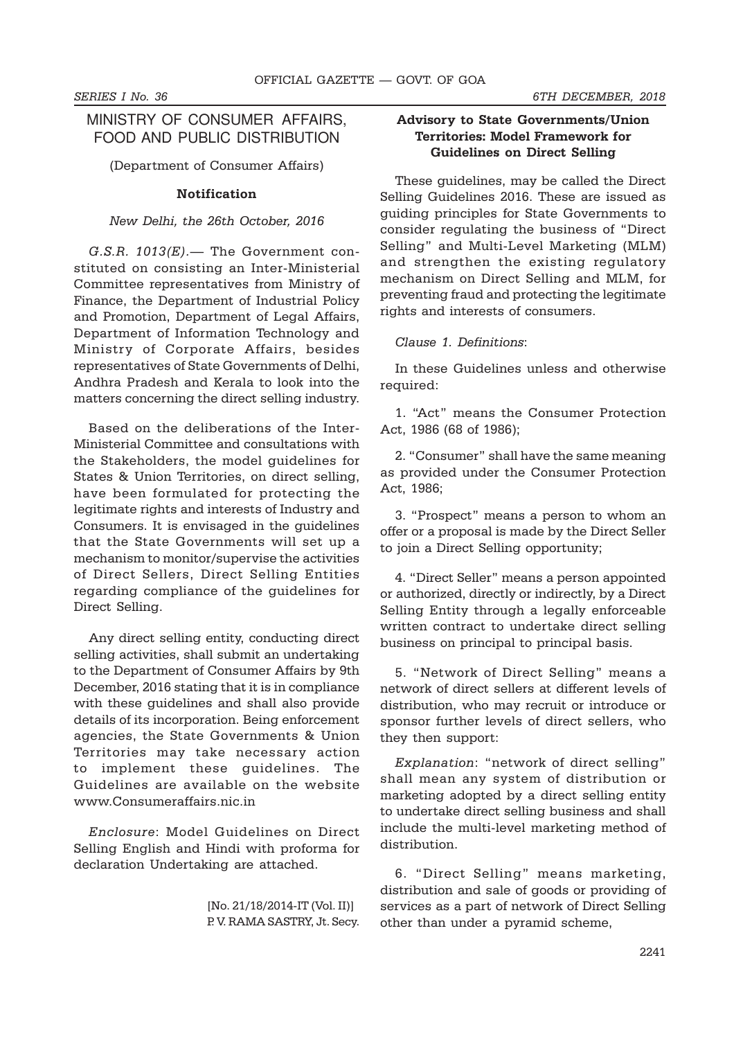# MINISTRY OF CONSUMER AFFAIRS, FOOD AND PUBLIC DISTRIBUTION

(Department of Consumer Affairs)

#### Notification

#### New Delhi, the 26th October, 2016

 $G.S.R.$  1013 $(E)$ . The Government constituted on consisting an Inter-Ministerial Committee representatives from Ministry of Finance, the Department of Industrial Policy and Promotion, Department of Legal Affairs, Department of Information Technology and Ministry of Corporate Affairs, besides representatives of State Governments of Delhi, Andhra Pradesh and Kerala to look into the matters concerning the direct selling industry.

Based on the deliberations of the Inter-Ministerial Committee and consultations with the Stakeholders, the model guidelines for States & Union Territories, on direct selling, have been formulated for protecting the legitimate rights and interests of Industry and Consumers. It is envisaged in the guidelines that the State Governments will set up a mechanism to monitor/supervise the activities of Direct Sellers, Direct Selling Entities regarding compliance of the guidelines for Direct Selling.

Any direct selling entity, conducting direct selling activities, shall submit an undertaking to the Department of Consumer Affairs by 9th December, 2016 stating that it is in compliance with these guidelines and shall also provide details of its incorporation. Being enforcement agencies, the State Governments & Union Territories may take necessary action to implement these guidelines. The Guidelines are available on the website www.Consumeraffairs.nic.in

Enclosure: Model Guidelines on Direct Selling English and Hindi with proforma for declaration Undertaking are attached.

> [No. 21/18/2014-IT (Vol. II)] P. V. RAMA SASTRY, Jt. Secy.

# Advisory to State Governments/Union Territories: Model Framework for Guidelines on Direct Selling

These guidelines, may be called the Direct Selling Guidelines 2016. These are issued as guiding principles for State Governments to consider regulating the business of "Direct Selling" and Multi-Level Marketing (MLM) and strengthen the existing regulatory mechanism on Direct Selling and MLM, for preventing fraud and protecting the legitimate rights and interests of consumers.

#### Clause 1. Definitions:

In these Guidelines unless and otherwise required:

1. "Act" means the Consumer Protection Act, 1986 (68 of 1986);

2. "Consumer" shall have the same meaning as provided under the Consumer Protection Act, 1986;

3. "Prospect" means a person to whom an offer or a proposal is made by the Direct Seller to join a Direct Selling opportunity;

4. "Direct Seller" means a person appointed or authorized, directly or indirectly, by a Direct Selling Entity through a legally enforceable written contract to undertake direct selling business on principal to principal basis.

5. "Network of Direct Selling" means a network of direct sellers at different levels of distribution, who may recruit or introduce or sponsor further levels of direct sellers, who they then support:

Explanation: "network of direct selling" shall mean any system of distribution or marketing adopted by a direct selling entity to undertake direct selling business and shall include the multi-level marketing method of distribution.

6. "Direct Selling" means marketing, distribution and sale of goods or providing of services as a part of network of Direct Selling other than under a pyramid scheme,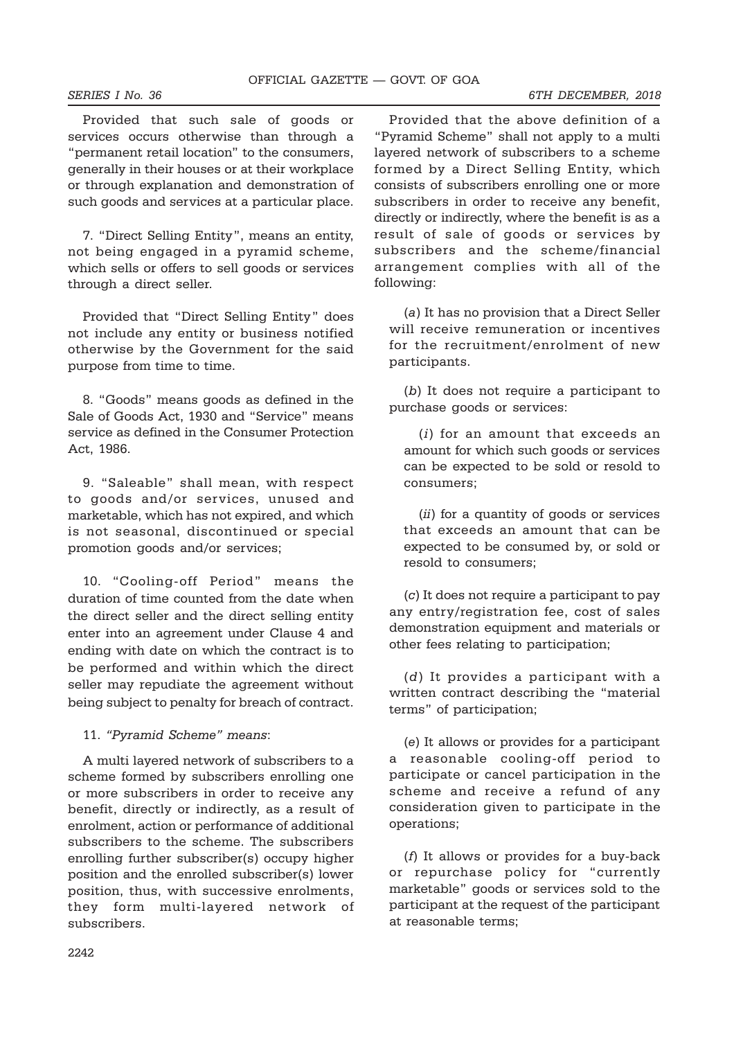Provided that such sale of goods or services occurs otherwise than through a "permanent retail location" to the consumers, generally in their houses or at their workplace or through explanation and demonstration of such goods and services at a particular place.

7. "Direct Selling Entity", means an entity, not being engaged in a pyramid scheme, which sells or offers to sell goods or services through a direct seller.

Provided that "Direct Selling Entity" does not include any entity or business notified otherwise by the Government for the said purpose from time to time.

8. "Goods" means goods as defined in the Sale of Goods Act, 1930 and "Service" means service as defined in the Consumer Protection Act, 1986.

9. "Saleable" shall mean, with respect to goods and/or services, unused and marketable, which has not expired, and which is not seasonal, discontinued or special promotion goods and/or services;

10. "Cooling-off Period" means the duration of time counted from the date when the direct seller and the direct selling entity enter into an agreement under Clause 4 and ending with date on which the contract is to be performed and within which the direct seller may repudiate the agreement without being subject to penalty for breach of contract.

11. "Pyramid Scheme" means:

A multi layered network of subscribers to a scheme formed by subscribers enrolling one or more subscribers in order to receive any benefit, directly or indirectly, as a result of enrolment, action or performance of additional subscribers to the scheme. The subscribers enrolling further subscriber(s) occupy higher position and the enrolled subscriber(s) lower position, thus, with successive enrolments, they form multi-layered network of subscribers.

Provided that the above definition of a "Pyramid Scheme" shall not apply to a multi layered network of subscribers to a scheme formed by a Direct Selling Entity, which consists of subscribers enrolling one or more subscribers in order to receive any benefit, directly or indirectly, where the benefit is as a result of sale of goods or services by subscribers and the scheme/financial arrangement complies with all of the following:

(a) It has no provision that a Direct Seller will receive remuneration or incentives for the recruitment/enrolment of new participants.

(b) It does not require a participant to purchase goods or services:

(i) for an amount that exceeds an amount for which such goods or services can be expected to be sold or resold to consumers;

(ii) for a quantity of goods or services that exceeds an amount that can be expected to be consumed by, or sold or resold to consumers;

(c) It does not require a participant to pay any entry/registration fee, cost of sales demonstration equipment and materials or other fees relating to participation;

(d) It provides a participant with a written contract describing the "material terms" of participation;

(e) It allows or provides for a participant a reasonable cooling-off period to participate or cancel participation in the scheme and receive a refund of any consideration given to participate in the operations;

(f) It allows or provides for a buy-back or repurchase policy for "currently marketable" goods or services sold to the participant at the request of the participant at reasonable terms;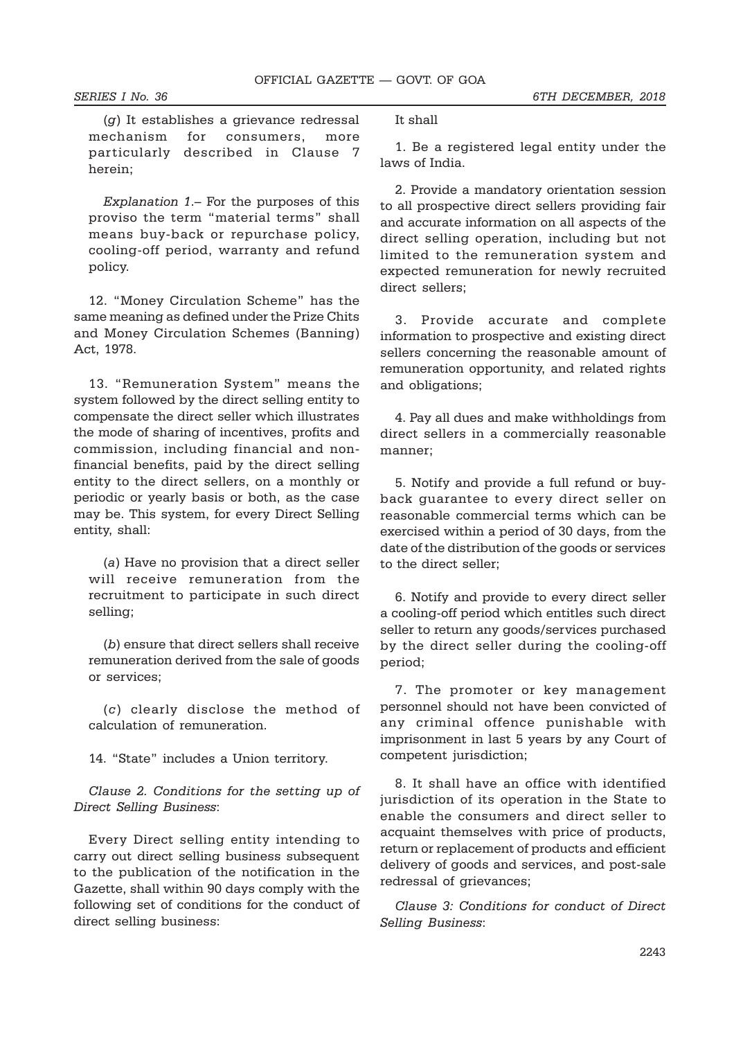(g) It establishes a grievance redressal mechanism for consumers, more particularly described in Clause 7 herein;

Explanation 1.– For the purposes of this proviso the term "material terms" shall means buy-back or repurchase policy, cooling-off period, warranty and refund policy.

12. "Money Circulation Scheme" has the same meaning as defined under the Prize Chits and Money Circulation Schemes (Banning) Act, 1978.

13. "Remuneration System" means the system followed by the direct selling entity to compensate the direct seller which illustrates the mode of sharing of incentives, profits and commission, including financial and nonfinancial benefits, paid by the direct selling entity to the direct sellers, on a monthly or periodic or yearly basis or both, as the case may be. This system, for every Direct Selling entity, shall:

(a) Have no provision that a direct seller will receive remuneration from the recruitment to participate in such direct selling;

(b) ensure that direct sellers shall receive remuneration derived from the sale of goods or services;

(c) clearly disclose the method of calculation of remuneration.

14. "State" includes a Union territory.

Clause 2. Conditions for the setting up of Direct Selling Business:

Every Direct selling entity intending to carry out direct selling business subsequent to the publication of the notification in the Gazette, shall within 90 days comply with the following set of conditions for the conduct of direct selling business:

It shall

1. Be a registered legal entity under the laws of India.

2. Provide a mandatory orientation session to all prospective direct sellers providing fair and accurate information on all aspects of the direct selling operation, including but not limited to the remuneration system and expected remuneration for newly recruited direct sellers;

3. Provide accurate and complete information to prospective and existing direct sellers concerning the reasonable amount of remuneration opportunity, and related rights and obligations;

4. Pay all dues and make withholdings from direct sellers in a commercially reasonable manner;

5. Notify and provide a full refund or buyback guarantee to every direct seller on reasonable commercial terms which can be exercised within a period of 30 days, from the date of the distribution of the goods or services to the direct seller;

6. Notify and provide to every direct seller a cooling-off period which entitles such direct seller to return any goods/services purchased by the direct seller during the cooling-off period;

7. The promoter or key management personnel should not have been convicted of any criminal offence punishable with imprisonment in last 5 years by any Court of competent jurisdiction;

8. It shall have an office with identified jurisdiction of its operation in the State to enable the consumers and direct seller to acquaint themselves with price of products, return or replacement of products and efficient delivery of goods and services, and post-sale redressal of grievances;

Clause 3: Conditions for conduct of Direct Selling Business: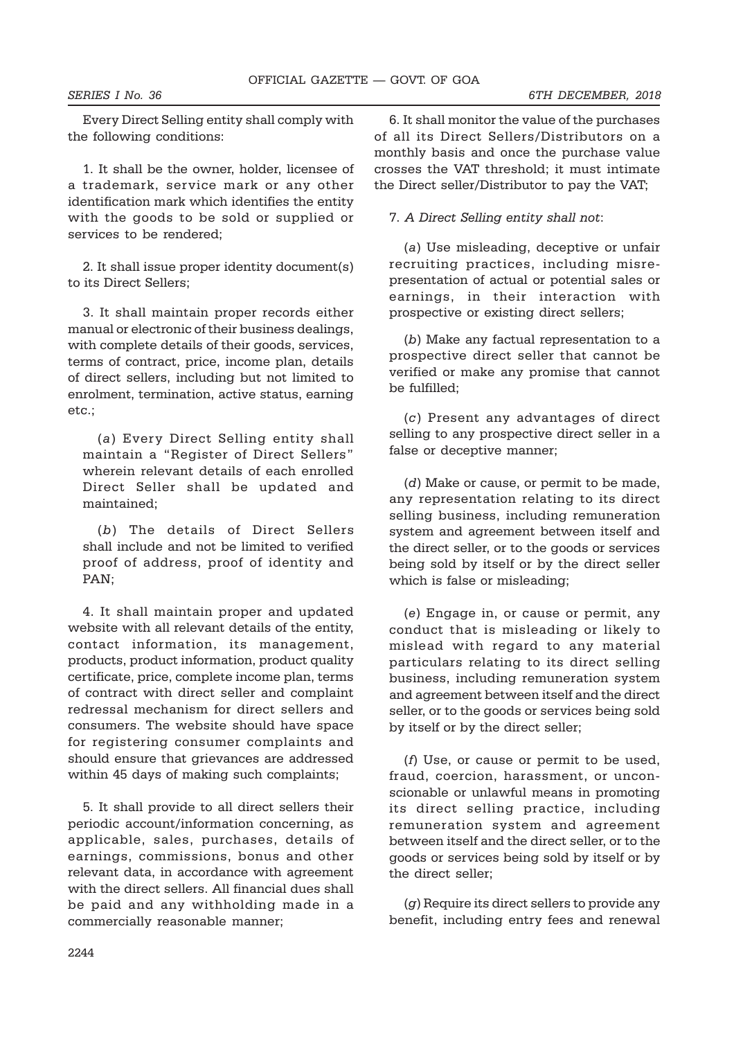Every Direct Selling entity shall comply with the following conditions:

1. It shall be the owner, holder, licensee of a trademark, service mark or any other identification mark which identifies the entity with the goods to be sold or supplied or services to be rendered;

2. It shall issue proper identity document(s) to its Direct Sellers;

3. It shall maintain proper records either manual or electronic of their business dealings, with complete details of their goods, services, terms of contract, price, income plan, details of direct sellers, including but not limited to enrolment, termination, active status, earning etc.;

(a) Every Direct Selling entity shall maintain a "Register of Direct Sellers" wherein relevant details of each enrolled Direct Seller shall be updated and maintained;

(b) The details of Direct Sellers shall include and not be limited to verified proof of address, proof of identity and PAN;

4. It shall maintain proper and updated website with all relevant details of the entity, contact information, its management, products, product information, product quality certificate, price, complete income plan, terms of contract with direct seller and complaint redressal mechanism for direct sellers and consumers. The website should have space for registering consumer complaints and should ensure that grievances are addressed within 45 days of making such complaints;

5. It shall provide to all direct sellers their periodic account/information concerning, as applicable, sales, purchases, details of earnings, commissions, bonus and other relevant data, in accordance with agreement with the direct sellers. All financial dues shall be paid and any withholding made in a commercially reasonable manner;

6. It shall monitor the value of the purchases of all its Direct Sellers/Distributors on a monthly basis and once the purchase value crosses the VAT threshold; it must intimate the Direct seller/Distributor to pay the VAT;

7. A Direct Selling entity shall not:

(a) Use misleading, deceptive or unfair recruiting practices, including misrepresentation of actual or potential sales or earnings, in their interaction with prospective or existing direct sellers;

(b) Make any factual representation to a prospective direct seller that cannot be verified or make any promise that cannot be fulfilled;

(c) Present any advantages of direct selling to any prospective direct seller in a false or deceptive manner;

(d) Make or cause, or permit to be made, any representation relating to its direct selling business, including remuneration system and agreement between itself and the direct seller, or to the goods or services being sold by itself or by the direct seller which is false or misleading;

(e) Engage in, or cause or permit, any conduct that is misleading or likely to mislead with regard to any material particulars relating to its direct selling business, including remuneration system and agreement between itself and the direct seller, or to the goods or services being sold by itself or by the direct seller;

(f) Use, or cause or permit to be used, fraud, coercion, harassment, or unconscionable or unlawful means in promoting its direct selling practice, including remuneration system and agreement between itself and the direct seller, or to the goods or services being sold by itself or by the direct seller;

(g) Require its direct sellers to provide any benefit, including entry fees and renewal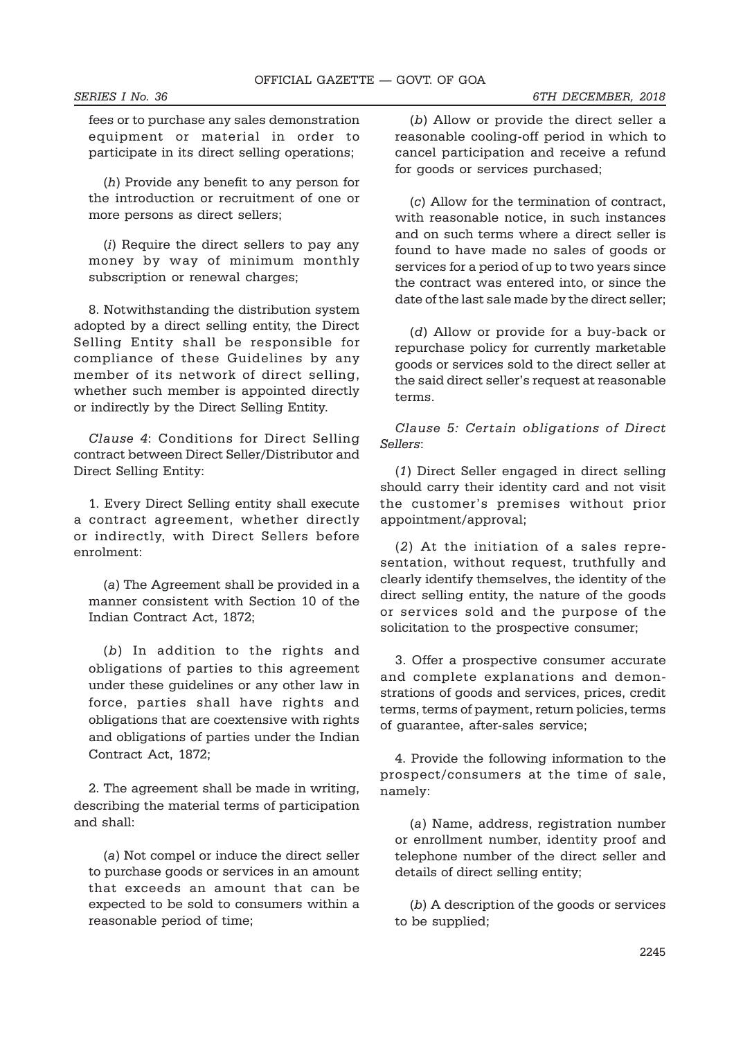fees or to purchase any sales demonstration equipment or material in order to participate in its direct selling operations;

(h) Provide any benefit to any person for the introduction or recruitment of one or more persons as direct sellers;

(i) Require the direct sellers to pay any money by way of minimum monthly subscription or renewal charges;

8. Notwithstanding the distribution system adopted by a direct selling entity, the Direct Selling Entity shall be responsible for compliance of these Guidelines by any member of its network of direct selling, whether such member is appointed directly or indirectly by the Direct Selling Entity.

Clause 4: Conditions for Direct Selling contract between Direct Seller/Distributor and Direct Selling Entity:

1. Every Direct Selling entity shall execute a contract agreement, whether directly or indirectly, with Direct Sellers before enrolment:

(a) The Agreement shall be provided in a manner consistent with Section 10 of the Indian Contract Act, 1872;

(b) In addition to the rights and obligations of parties to this agreement under these guidelines or any other law in force, parties shall have rights and obligations that are coextensive with rights and obligations of parties under the Indian Contract Act, 1872;

2. The agreement shall be made in writing, describing the material terms of participation and shall:

(a) Not compel or induce the direct seller to purchase goods or services in an amount that exceeds an amount that can be expected to be sold to consumers within a reasonable period of time;

(b) Allow or provide the direct seller a reasonable cooling-off period in which to cancel participation and receive a refund for goods or services purchased;

(c) Allow for the termination of contract, with reasonable notice, in such instances and on such terms where a direct seller is found to have made no sales of goods or services for a period of up to two years since the contract was entered into, or since the date of the last sale made by the direct seller;

(d) Allow or provide for a buy-back or repurchase policy for currently marketable goods or services sold to the direct seller at the said direct seller's request at reasonable terms.

Clause 5: Certain obligations of Direct Sellers:

(1) Direct Seller engaged in direct selling should carry their identity card and not visit the customer's premises without prior appointment/approval;

(2) At the initiation of a sales representation, without request, truthfully and clearly identify themselves, the identity of the direct selling entity, the nature of the goods or services sold and the purpose of the solicitation to the prospective consumer;

3. Offer a prospective consumer accurate and complete explanations and demonstrations of goods and services, prices, credit terms, terms of payment, return policies, terms of guarantee, after-sales service;

4. Provide the following information to the prospect/consumers at the time of sale, namely:

(a) Name, address, registration number or enrollment number, identity proof and telephone number of the direct seller and details of direct selling entity;

(b) A description of the goods or services to be supplied;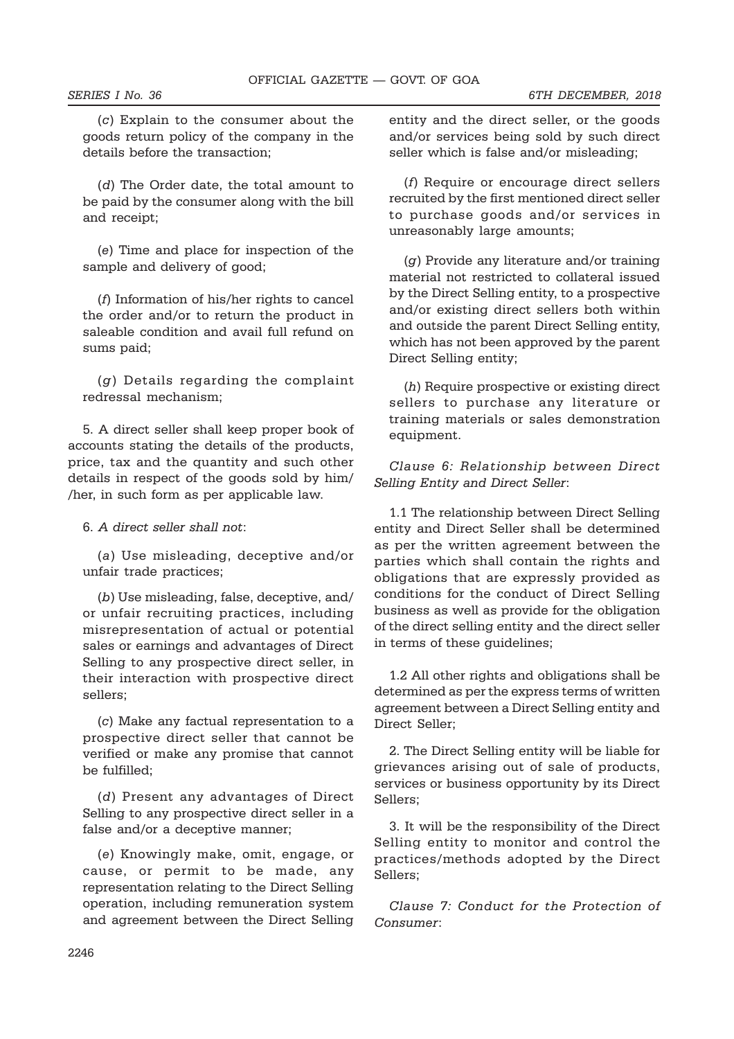(c) Explain to the consumer about the goods return policy of the company in the details before the transaction;

(d) The Order date, the total amount to be paid by the consumer along with the bill and receipt;

(e) Time and place for inspection of the sample and delivery of good;

(f) Information of his/her rights to cancel the order and/or to return the product in saleable condition and avail full refund on sums paid;

(g) Details regarding the complaint redressal mechanism;

5. A direct seller shall keep proper book of accounts stating the details of the products, price, tax and the quantity and such other details in respect of the goods sold by him/ /her, in such form as per applicable law.

#### 6. A direct seller shall not:

(a) Use misleading, deceptive and/or unfair trade practices;

(b) Use misleading, false, deceptive, and/ or unfair recruiting practices, including misrepresentation of actual or potential sales or earnings and advantages of Direct Selling to any prospective direct seller, in their interaction with prospective direct sellers;

(c) Make any factual representation to a prospective direct seller that cannot be verified or make any promise that cannot be fulfilled;

(d) Present any advantages of Direct Selling to any prospective direct seller in a false and/or a deceptive manner;

(e) Knowingly make, omit, engage, or cause, or permit to be made, any representation relating to the Direct Selling operation, including remuneration system and agreement between the Direct Selling entity and the direct seller, or the goods and/or services being sold by such direct seller which is false and/or misleading;

(f) Require or encourage direct sellers recruited by the first mentioned direct seller to purchase goods and/or services in unreasonably large amounts;

(g) Provide any literature and/or training material not restricted to collateral issued by the Direct Selling entity, to a prospective and/or existing direct sellers both within and outside the parent Direct Selling entity, which has not been approved by the parent Direct Selling entity;

(h) Require prospective or existing direct sellers to purchase any literature or training materials or sales demonstration equipment.

Clause 6: Relationship between Direct Selling Entity and Direct Seller:

1.1 The relationship between Direct Selling entity and Direct Seller shall be determined as per the written agreement between the parties which shall contain the rights and obligations that are expressly provided as conditions for the conduct of Direct Selling business as well as provide for the obligation of the direct selling entity and the direct seller in terms of these guidelines;

1.2 All other rights and obligations shall be determined as per the express terms of written agreement between a Direct Selling entity and Direct Seller;

2. The Direct Selling entity will be liable for grievances arising out of sale of products, services or business opportunity by its Direct Sellers;

3. It will be the responsibility of the Direct Selling entity to monitor and control the practices/methods adopted by the Direct Sellers;

Clause 7: Conduct for the Protection of Consumer: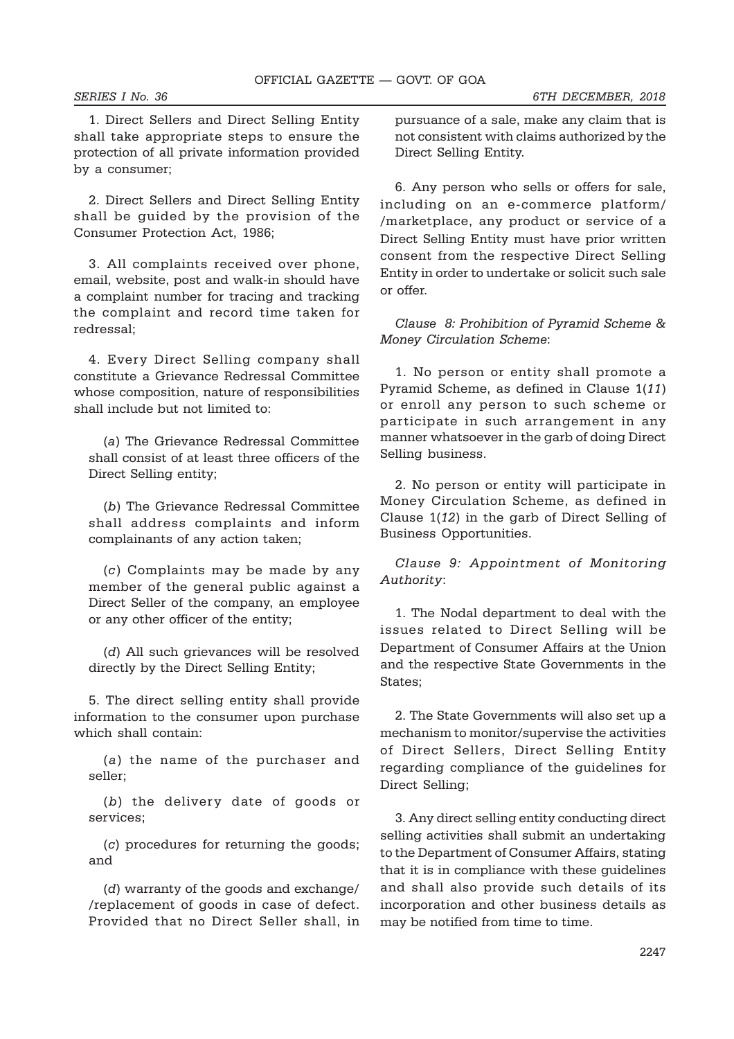1. Direct Sellers and Direct Selling Entity shall take appropriate steps to ensure the protection of all private information provided by a consumer;

2. Direct Sellers and Direct Selling Entity shall be guided by the provision of the Consumer Protection Act, 1986;

3. All complaints received over phone, email, website, post and walk-in should have a complaint number for tracing and tracking the complaint and record time taken for redressal;

4. Every Direct Selling company shall constitute a Grievance Redressal Committee whose composition, nature of responsibilities shall include but not limited to:

(a) The Grievance Redressal Committee shall consist of at least three officers of the Direct Selling entity;

(b) The Grievance Redressal Committee shall address complaints and inform complainants of any action taken;

(c) Complaints may be made by any member of the general public against a Direct Seller of the company, an employee or any other officer of the entity;

(d) All such grievances will be resolved directly by the Direct Selling Entity;

5. The direct selling entity shall provide information to the consumer upon purchase which shall contain:

(a) the name of the purchaser and seller;

(b) the delivery date of goods or services;

(c) procedures for returning the goods; and

(d) warranty of the goods and exchange/ /replacement of goods in case of defect. Provided that no Direct Seller shall, in

pursuance of a sale, make any claim that is not consistent with claims authorized by the Direct Selling Entity.

6. Any person who sells or offers for sale, including on an e-commerce platform/ /marketplace, any product or service of a Direct Selling Entity must have prior written consent from the respective Direct Selling Entity in order to undertake or solicit such sale or offer.

Clause 8: Prohibition of Pyramid Scheme & Money Circulation Scheme:

1. No person or entity shall promote a Pyramid Scheme, as defined in Clause 1(11) or enroll any person to such scheme or participate in such arrangement in any manner whatsoever in the garb of doing Direct Selling business.

2. No person or entity will participate in Money Circulation Scheme, as defined in Clause 1(12) in the garb of Direct Selling of Business Opportunities.

Clause 9: Appointment of Monitoring Authority:

1. The Nodal department to deal with the issues related to Direct Selling will be Department of Consumer Affairs at the Union and the respective State Governments in the States;

2. The State Governments will also set up a mechanism to monitor/supervise the activities of Direct Sellers, Direct Selling Entity regarding compliance of the guidelines for Direct Selling;

3. Any direct selling entity conducting direct selling activities shall submit an undertaking to the Department of Consumer Affairs, stating that it is in compliance with these guidelines and shall also provide such details of its incorporation and other business details as may be notified from time to time.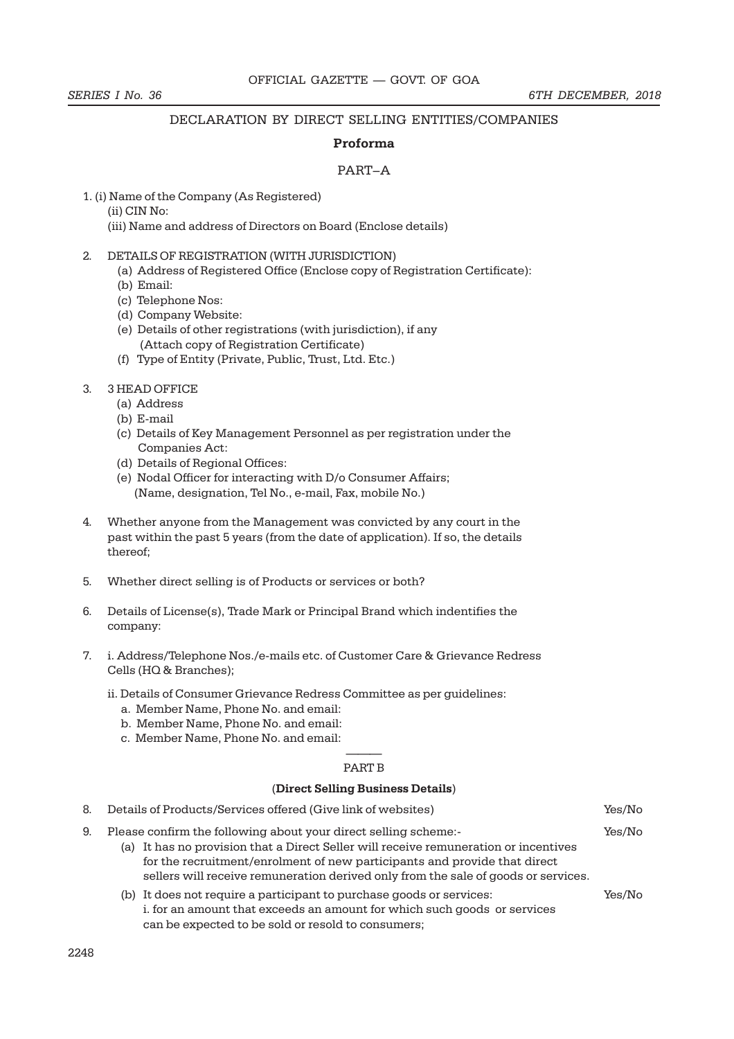#### DECLARATION BY DIRECT SELLING ENTITIES/COMPANIES

#### Proforma

#### PART–A

- 1. (i) Name of the Company (As Registered) (ii) CIN No:
	- (iii) Name and address of Directors on Board (Enclose details)
- 2. DETAILS OF REGISTRATION (WITH JURISDICTION)
	- (a) Address of Registered Office (Enclose copy of Registration Certificate):
	- (b) Email:
	- (c) Telephone Nos:
	- (d) Company Website:
	- (e) Details of other registrations (with jurisdiction), if any (Attach copy of Registration Certificate)
	- (f) Type of Entity (Private, Public, Trust, Ltd. Etc.)

#### 3. 3 HEAD OFFICE

- (a) Address
- (b) E-mail
- (c) Details of Key Management Personnel as per registration under the Companies Act:
- (d) Details of Regional Offices:
- (e) Nodal Officer for interacting with D/o Consumer Affairs; (Name, designation, Tel No., e-mail, Fax, mobile No.)
- 4. Whether anyone from the Management was convicted by any court in the past within the past 5 years (from the date of application). If so, the details thereof;
- 5. Whether direct selling is of Products or services or both?
- 6. Details of License(s), Trade Mark or Principal Brand which indentifies the company:
- 7. i. Address/Telephone Nos./e-mails etc. of Customer Care & Grievance Redress Cells (HQ & Branches);
	- ii. Details of Consumer Grievance Redress Committee as per guidelines:
		- a. Member Name, Phone No. and email:
		- b. Member Name, Phone No. and email:
		- c. Member Name, Phone No. and email:

#### ——— PART B

#### (Direct Selling Business Details)

| 8. | Details of Products/Services offered (Give link of websites)                                                                                                                                                                                                                                                               | Yes/No |
|----|----------------------------------------------------------------------------------------------------------------------------------------------------------------------------------------------------------------------------------------------------------------------------------------------------------------------------|--------|
| 9. | Please confirm the following about your direct selling scheme:-<br>(a) It has no provision that a Direct Seller will receive remuneration or incentives<br>for the recruitment/enrolment of new participants and provide that direct<br>sellers will receive remuneration derived only from the sale of goods or services. | Yes/No |
|    | (b) It does not require a participant to purchase goods or services:<br>i. for an amount that exceeds an amount for which such goods or services<br>can be expected to be sold or resold to consumers;                                                                                                                     | Yes/No |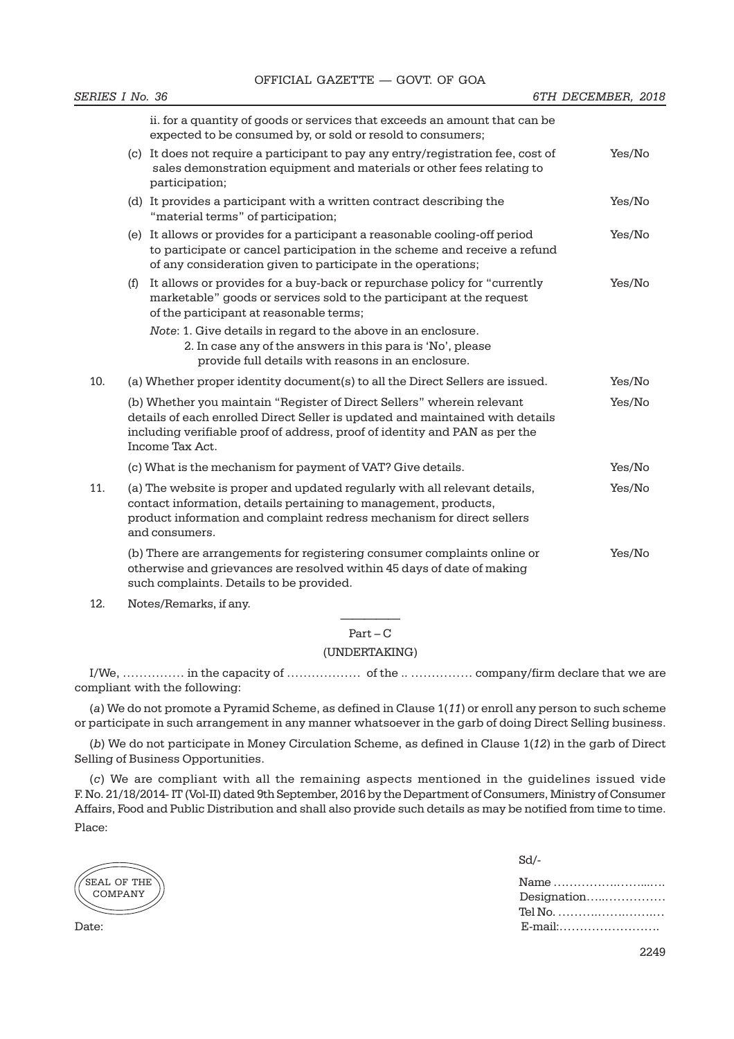|     |                                                                                                                                                                                                                                                           | ii. for a quantity of goods or services that exceeds an amount that can be<br>expected to be consumed by, or sold or resold to consumers;                                                                                                  |        |
|-----|-----------------------------------------------------------------------------------------------------------------------------------------------------------------------------------------------------------------------------------------------------------|--------------------------------------------------------------------------------------------------------------------------------------------------------------------------------------------------------------------------------------------|--------|
|     |                                                                                                                                                                                                                                                           | (c) It does not require a participant to pay any entry/registration fee, cost of<br>sales demonstration equipment and materials or other fees relating to<br>participation;                                                                | Yes/No |
|     |                                                                                                                                                                                                                                                           | (d) It provides a participant with a written contract describing the<br>"material terms" of participation;                                                                                                                                 | Yes/No |
|     |                                                                                                                                                                                                                                                           | (e) It allows or provides for a participant a reasonable cooling-off period<br>to participate or cancel participation in the scheme and receive a refund<br>of any consideration given to participate in the operations;                   | Yes/No |
|     | (f)                                                                                                                                                                                                                                                       | It allows or provides for a buy-back or repurchase policy for "currently<br>marketable" goods or services sold to the participant at the request<br>of the participant at reasonable terms;                                                | Yes/No |
|     |                                                                                                                                                                                                                                                           | Note: 1. Give details in regard to the above in an enclosure.<br>2. In case any of the answers in this para is 'No', please<br>provide full details with reasons in an enclosure.                                                          |        |
| 10. |                                                                                                                                                                                                                                                           | (a) Whether proper identity document(s) to all the Direct Sellers are issued.                                                                                                                                                              | Yes/No |
|     | (b) Whether you maintain "Register of Direct Sellers" wherein relevant<br>details of each enrolled Direct Seller is updated and maintained with details<br>including verifiable proof of address, proof of identity and PAN as per the<br>Income Tax Act. |                                                                                                                                                                                                                                            | Yes/No |
|     |                                                                                                                                                                                                                                                           | (c) What is the mechanism for payment of VAT? Give details.                                                                                                                                                                                | Yes/No |
| 11. |                                                                                                                                                                                                                                                           | (a) The website is proper and updated regularly with all relevant details,<br>contact information, details pertaining to management, products,<br>product information and complaint redress mechanism for direct sellers<br>and consumers. | Yes/No |
|     |                                                                                                                                                                                                                                                           | (b) There are arrangements for registering consumer complaints online or<br>otherwise and grievances are resolved within 45 days of date of making<br>such complaints. Details to be provided.                                             | Yes/No |

12. Notes/Remarks, if any.

————— Part – C

#### (UNDERTAKING)

I/We, …………… in the capacity of ……………… of the .. …………… company/firm declare that we are compliant with the following:

(a) We do not promote a Pyramid Scheme, as defined in Clause 1(11) or enroll any person to such scheme or participate in such arrangement in any manner whatsoever in the garb of doing Direct Selling business.

(b) We do not participate in Money Circulation Scheme, as defined in Clause 1(12) in the garb of Direct Selling of Business Opportunities.

(c) We are compliant with all the remaining aspects mentioned in the guidelines issued vide F. No. 21/18/2014- IT (Vol-II) dated 9th September, 2016 by the Department of Consumers, Ministry of Consumer Affairs, Food and Public Distribution and shall also provide such details as may be notified from time to time. Place:

.<br>SEAL OF THE COMPANY

Sd/-

Name …………….……...…. Designation…..…………… Tel No. ……….…….…….… Date: E-mail:…………………….

2249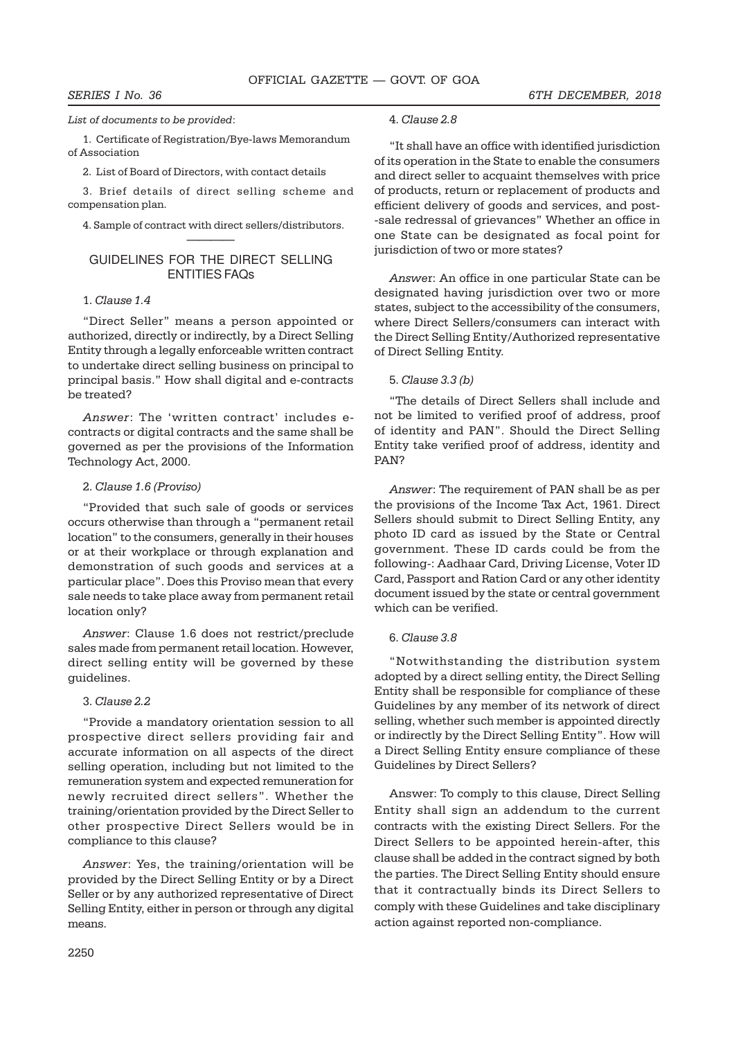#### List of documents to be provided:

1. Certificate of Registration/Bye-laws Memorandum of Association

2. List of Board of Directors, with contact details

3. Brief details of direct selling scheme and compensation plan.

4. Sample of contract with direct sellers/distributors. ————

#### GUIDELINES FOR THE DIRECT SELLING ENTITIES FAQs

#### 1. Clause 1.4

"Direct Seller" means a person appointed or authorized, directly or indirectly, by a Direct Selling Entity through a legally enforceable written contract to undertake direct selling business on principal to principal basis." How shall digital and e-contracts be treated?

Answer: The 'written contract' includes econtracts or digital contracts and the same shall be governed as per the provisions of the Information Technology Act, 2000.

#### 2. Clause 1.6 (Proviso)

"Provided that such sale of goods or services occurs otherwise than through a "permanent retail location" to the consumers, generally in their houses or at their workplace or through explanation and demonstration of such goods and services at a particular place". Does this Proviso mean that every sale needs to take place away from permanent retail location only?

Answer: Clause 1.6 does not restrict/preclude sales made from permanent retail location. However, direct selling entity will be governed by these guidelines.

#### 3. Clause 2.2

"Provide a mandatory orientation session to all prospective direct sellers providing fair and accurate information on all aspects of the direct selling operation, including but not limited to the remuneration system and expected remuneration for newly recruited direct sellers". Whether the training/orientation provided by the Direct Seller to other prospective Direct Sellers would be in compliance to this clause?

Answer: Yes, the training/orientation will be provided by the Direct Selling Entity or by a Direct Seller or by any authorized representative of Direct Selling Entity, either in person or through any digital means.

# 4. Clause 2.8

"It shall have an office with identified jurisdiction of its operation in the State to enable the consumers and direct seller to acquaint themselves with price of products, return or replacement of products and efficient delivery of goods and services, and post- -sale redressal of grievances" Whether an office in one State can be designated as focal point for jurisdiction of two or more states?

Answer: An office in one particular State can be designated having jurisdiction over two or more states, subject to the accessibility of the consumers, where Direct Sellers/consumers can interact with the Direct Selling Entity/Authorized representative of Direct Selling Entity.

#### 5. Clause 3.3 (b)

"The details of Direct Sellers shall include and not be limited to verified proof of address, proof of identity and PAN". Should the Direct Selling Entity take verified proof of address, identity and PAN?

Answer: The requirement of PAN shall be as per the provisions of the Income Tax Act, 1961. Direct Sellers should submit to Direct Selling Entity, any photo ID card as issued by the State or Central government. These ID cards could be from the following-: Aadhaar Card, Driving License, Voter ID Card, Passport and Ration Card or any other identity document issued by the state or central government which can be verified.

#### 6. Clause 3.8

"Notwithstanding the distribution system adopted by a direct selling entity, the Direct Selling Entity shall be responsible for compliance of these Guidelines by any member of its network of direct selling, whether such member is appointed directly or indirectly by the Direct Selling Entity". How will a Direct Selling Entity ensure compliance of these Guidelines by Direct Sellers?

Answer: To comply to this clause, Direct Selling Entity shall sign an addendum to the current contracts with the existing Direct Sellers. For the Direct Sellers to be appointed herein-after, this clause shall be added in the contract signed by both the parties. The Direct Selling Entity should ensure that it contractually binds its Direct Sellers to comply with these Guidelines and take disciplinary action against reported non-compliance.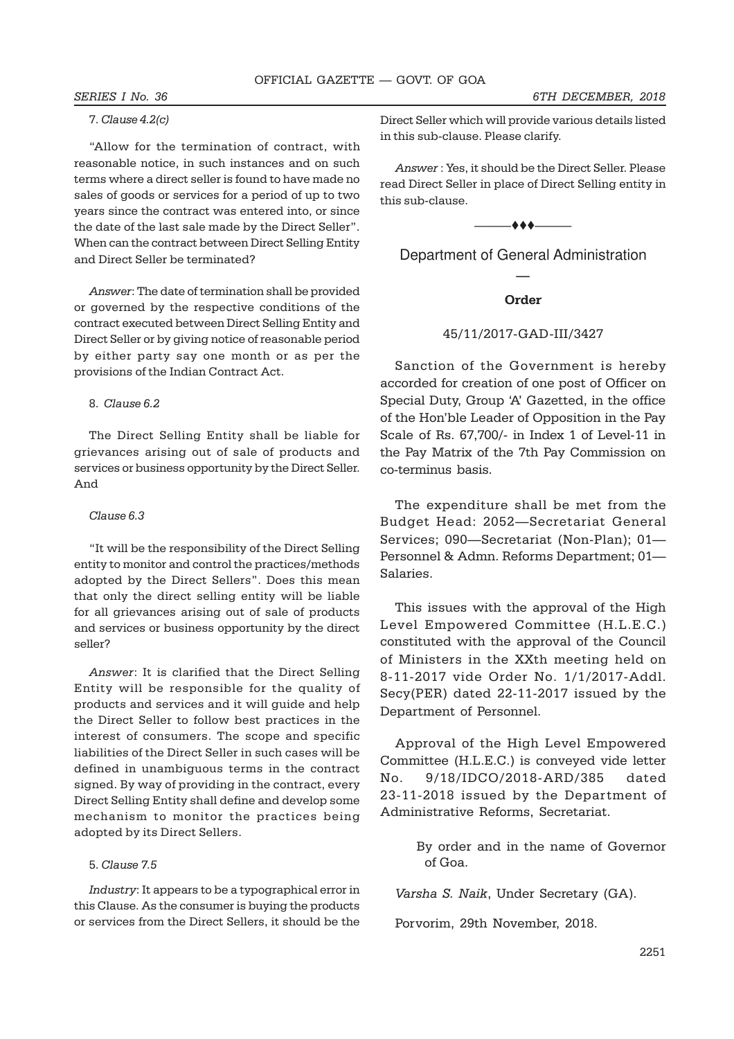#### 7. Clause 4.2(c)

"Allow for the termination of contract, with reasonable notice, in such instances and on such terms where a direct seller is found to have made no sales of goods or services for a period of up to two years since the contract was entered into, or since the date of the last sale made by the Direct Seller". When can the contract between Direct Selling Entity and Direct Seller be terminated?

Answer: The date of termination shall be provided or governed by the respective conditions of the contract executed between Direct Selling Entity and Direct Seller or by giving notice of reasonable period by either party say one month or as per the provisions of the Indian Contract Act.

#### 8. Clause 6.2

The Direct Selling Entity shall be liable for grievances arising out of sale of products and services or business opportunity by the Direct Seller. And

#### Clause 6.3

"It will be the responsibility of the Direct Selling entity to monitor and control the practices/methods adopted by the Direct Sellers". Does this mean that only the direct selling entity will be liable for all grievances arising out of sale of products and services or business opportunity by the direct seller?

Answer: It is clarified that the Direct Selling Entity will be responsible for the quality of products and services and it will guide and help the Direct Seller to follow best practices in the interest of consumers. The scope and specific liabilities of the Direct Seller in such cases will be defined in unambiguous terms in the contract signed. By way of providing in the contract, every Direct Selling Entity shall define and develop some mechanism to monitor the practices being adopted by its Direct Sellers.

#### 5. Clause 7.5

Industry: It appears to be a typographical error in this Clause. As the consumer is buying the products or services from the Direct Sellers, it should be the Direct Seller which will provide various details listed in this sub-clause. Please clarify.

Answer : Yes, it should be the Direct Seller. Please read Direct Seller in place of Direct Selling entity in this sub-clause.

 $-$ 

Department of General Administration —

#### Order

#### 45/11/2017-GAD-III/3427

Sanction of the Government is hereby accorded for creation of one post of Officer on Special Duty, Group 'A' Gazetted, in the office of the Hon'ble Leader of Opposition in the Pay Scale of Rs. 67,700/- in Index 1 of Level-11 in the Pay Matrix of the 7th Pay Commission on co-terminus basis.

The expenditure shall be met from the Budget Head: 2052—Secretariat General Services; 090—Secretariat (Non-Plan); 01— Personnel & Admn. Reforms Department; 01— Salaries.

This issues with the approval of the High Level Empowered Committee (H.L.E.C.) constituted with the approval of the Council of Ministers in the XXth meeting held on 8-11-2017 vide Order No. 1/1/2017-Addl. Secy(PER) dated 22-11-2017 issued by the Department of Personnel.

Approval of the High Level Empowered Committee (H.L.E.C.) is conveyed vide letter No. 9/18/IDCO/2018-ARD/385 dated 23-11-2018 issued by the Department of Administrative Reforms, Secretariat.

> By order and in the name of Governor of Goa.

Varsha S. Naik, Under Secretary (GA).

Porvorim, 29th November, 2018.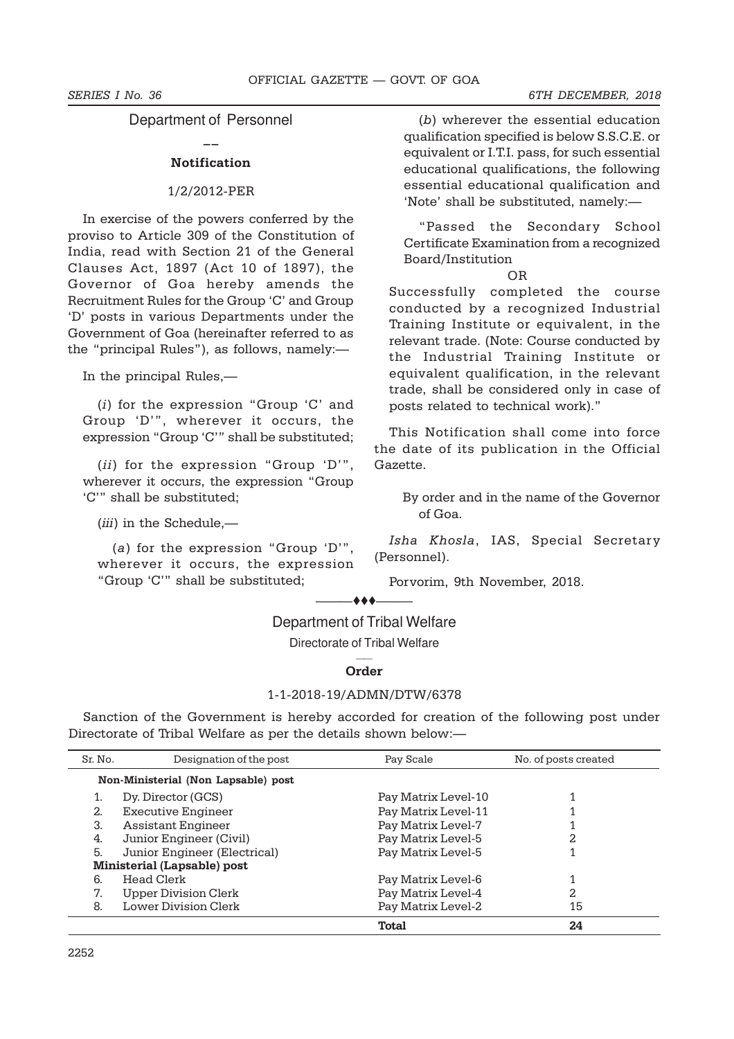Department of Personnel  $\overline{a}$ 

### Notification

#### 1/2/2012-PER

In exercise of the powers conferred by the proviso to Article 309 of the Constitution of India, read with Section 21 of the General Clauses Act, 1897 (Act 10 of 1897), the Governor of Goa hereby amends the Recruitment Rules for the Group 'C' and Group 'D' posts in various Departments under the Government of Goa (hereinafter referred to as the "principal Rules"), as follows, namely:—

In the principal Rules,—

(i) for the expression "Group 'C' and Group 'D'", wherever it occurs, the expression "Group 'C'" shall be substituted;

(ii) for the expression "Group 'D'", wherever it occurs, the expression "Group 'C'" shall be substituted;

(iii) in the Schedule,—

(a) for the expression "Group 'D'", wherever it occurs, the expression "Group 'C'" shall be substituted;

(b) wherever the essential education qualification specified is below S.S.C.E. or equivalent or I.T.I. pass, for such essential educational qualifications, the following essential educational qualification and 'Note' shall be substituted, namely:—

"Passed the Secondary School Certificate Examination from a recognized Board/Institution

#### OR

Successfully completed the course conducted by a recognized Industrial Training Institute or equivalent, in the relevant trade. (Note: Course conducted by the Industrial Training Institute or equivalent qualification, in the relevant trade, shall be considered only in case of posts related to technical work)."

This Notification shall come into force the date of its publication in the Official Gazette.

By order and in the name of the Governor of Goa.

Isha Khosla, IAS, Special Secretary (Personnel).

Porvorim, 9th November, 2018.

#### $-$  + +  $+$

### Department of Tribal Welfare

Directorate of Tribal Welfare

#### —— Order

### 1-1-2018-19/ADMN/DTW/6378

Sanction of the Government is hereby accorded for creation of the following post under Directorate of Tribal Welfare as per the details shown below:—

| Sr. No. | Designation of the post             | Pay Scale           | No. of posts created |
|---------|-------------------------------------|---------------------|----------------------|
|         | Non-Ministerial (Non Lapsable) post |                     |                      |
|         | Dy. Director (GCS)                  | Pay Matrix Level-10 |                      |
| 2.      | Executive Engineer                  | Pay Matrix Level-11 |                      |
| 3.      | Assistant Engineer                  | Pay Matrix Level-7  |                      |
| 4.      | Junior Engineer (Civil)             | Pay Matrix Level-5  |                      |
| 5.      | Junior Engineer (Electrical)        | Pay Matrix Level-5  |                      |
|         | <b>Ministerial (Lapsable) post</b>  |                     |                      |
| 6.      | Head Clerk                          | Pay Matrix Level-6  |                      |
| 7.      | Upper Division Clerk                | Pay Matrix Level-4  | 2.                   |
| 8.      | <b>Lower Division Clerk</b>         | Pay Matrix Level-2  | 15                   |
|         |                                     | Total               | 24                   |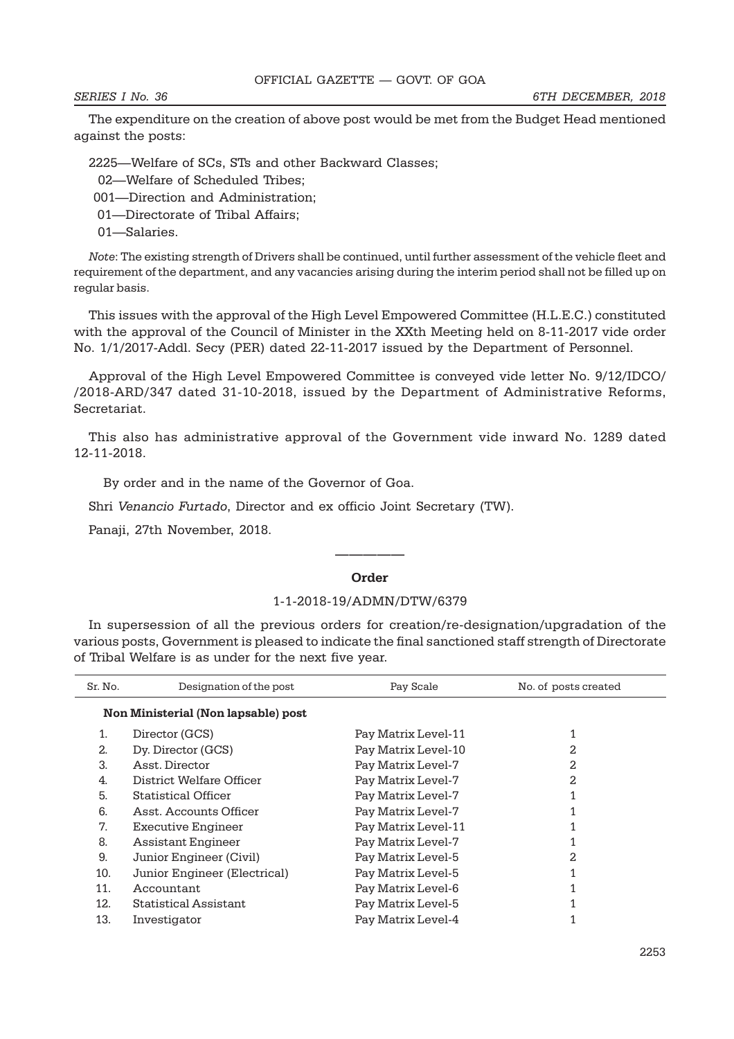The expenditure on the creation of above post would be met from the Budget Head mentioned against the posts:

2225—Welfare of SCs, STs and other Backward Classes;

- 02—Welfare of Scheduled Tribes;
- 001—Direction and Administration;
- 01—Directorate of Tribal Affairs;
- 01—Salaries.

Note: The existing strength of Drivers shall be continued, until further assessment of the vehicle fleet and requirement of the department, and any vacancies arising during the interim period shall not be filled up on regular basis.

This issues with the approval of the High Level Empowered Committee (H.L.E.C.) constituted with the approval of the Council of Minister in the XXth Meeting held on 8-11-2017 vide order No. 1/1/2017-Addl. Secy (PER) dated 22-11-2017 issued by the Department of Personnel.

Approval of the High Level Empowered Committee is conveyed vide letter No. 9/12/IDCO/ /2018-ARD/347 dated 31-10-2018, issued by the Department of Administrative Reforms, Secretariat.

This also has administrative approval of the Government vide inward No. 1289 dated 12-11-2018.

By order and in the name of the Governor of Goa.

Shri Venancio Furtado, Director and ex officio Joint Secretary (TW).

Panaji, 27th November, 2018.

# ————— Order

#### 1-1-2018-19/ADMN/DTW/6379

In supersession of all the previous orders for creation/re-designation/upgradation of the various posts, Government is pleased to indicate the final sanctioned staff strength of Directorate of Tribal Welfare is as under for the next five year.

| Sr. No.                             | Designation of the post      | Pay Scale           | No. of posts created |  |
|-------------------------------------|------------------------------|---------------------|----------------------|--|
| Non Ministerial (Non lapsable) post |                              |                     |                      |  |
| 1.                                  | Director (GCS)               | Pay Matrix Level-11 |                      |  |
| 2.                                  | Dy. Director (GCS)           | Pay Matrix Level-10 | 2                    |  |
| 3.                                  | Asst. Director               | Pay Matrix Level-7  | 2.                   |  |
| 4.                                  | District Welfare Officer     | Pay Matrix Level-7  | 2.                   |  |
| 5.                                  | Statistical Officer          | Pay Matrix Level-7  |                      |  |
| 6.                                  | Asst. Accounts Officer       | Pay Matrix Level-7  |                      |  |
| 7.                                  | Executive Engineer           | Pay Matrix Level-11 |                      |  |
| 8.                                  | Assistant Engineer           | Pay Matrix Level-7  |                      |  |
| 9.                                  | Junior Engineer (Civil)      | Pay Matrix Level-5  | 2.                   |  |
| 10.                                 | Junior Engineer (Electrical) | Pay Matrix Level-5  |                      |  |
| 11.                                 | Accountant                   | Pay Matrix Level-6  |                      |  |
| 12.                                 | <b>Statistical Assistant</b> | Pay Matrix Level-5  |                      |  |
| 13.                                 | Investigator                 | Pay Matrix Level-4  |                      |  |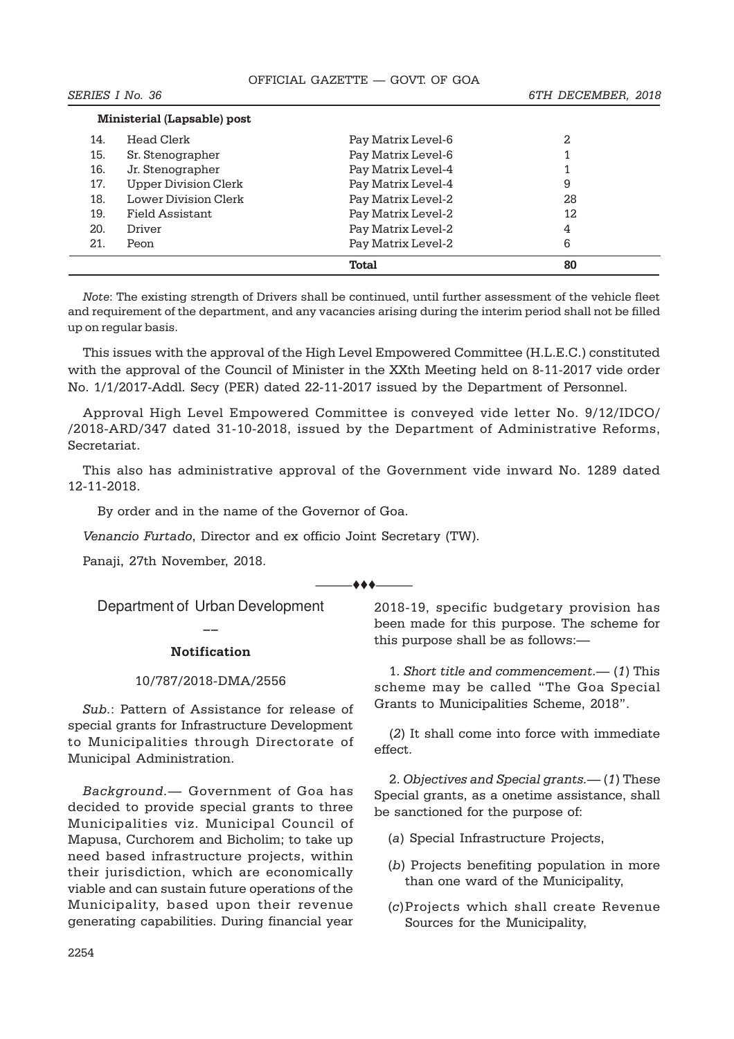|     | <b>Ministerial (Lapsable) post</b> |                    |    |  |
|-----|------------------------------------|--------------------|----|--|
| 14. | Head Clerk                         | Pay Matrix Level-6 | 2  |  |
| 15. | Sr. Stenographer                   | Pay Matrix Level-6 |    |  |
| 16. | Jr. Stenographer                   | Pay Matrix Level-4 |    |  |
| 17. | <b>Upper Division Clerk</b>        | Pay Matrix Level-4 | 9  |  |
| 18. | <b>Lower Division Clerk</b>        | Pay Matrix Level-2 | 28 |  |
| 19. | Field Assistant                    | Pay Matrix Level-2 | 12 |  |
| 20. | Driver                             | Pay Matrix Level-2 | 4  |  |
| 21. | Peon                               | Pay Matrix Level-2 | 6  |  |
|     |                                    | Total              | 80 |  |

Note: The existing strength of Drivers shall be continued, until further assessment of the vehicle fleet and requirement of the department, and any vacancies arising during the interim period shall not be filled up on regular basis.

This issues with the approval of the High Level Empowered Committee (H.L.E.C.) constituted with the approval of the Council of Minister in the XXth Meeting held on 8-11-2017 vide order No. 1/1/2017-Addl. Secy (PER) dated 22-11-2017 issued by the Department of Personnel.

Approval High Level Empowered Committee is conveyed vide letter No. 9/12/IDCO/ /2018-ARD/347 dated 31-10-2018, issued by the Department of Administrative Reforms, Secretariat.

This also has administrative approval of the Government vide inward No. 1289 dated 12-11-2018.

By order and in the name of the Governor of Goa.

Venancio Furtado, Director and ex officio Joint Secretary (TW).

Panaji, 27th November, 2018.

 $***-$ 

Department of Urban Development  $\overline{a}$ 

### Notification

### 10/787/2018-DMA/2556

Sub.: Pattern of Assistance for release of special grants for Infrastructure Development to Municipalities through Directorate of Municipal Administration.

Background.— Government of Goa has decided to provide special grants to three Municipalities viz. Municipal Council of Mapusa, Curchorem and Bicholim; to take up need based infrastructure projects, within their jurisdiction, which are economically viable and can sustain future operations of the Municipality, based upon their revenue generating capabilities. During financial year

2018-19, specific budgetary provision has been made for this purpose. The scheme for this purpose shall be as follows:—

1. Short title and commencement.— (1) This scheme may be called "The Goa Special Grants to Municipalities Scheme, 2018".

(2) It shall come into force with immediate effect.

2. Objectives and Special grants.— (1) These Special grants, as a onetime assistance, shall be sanctioned for the purpose of:

- (a) Special Infrastructure Projects,
- (b) Projects benefiting population in more than one ward of the Municipality,
- (c)Projects which shall create Revenue Sources for the Municipality,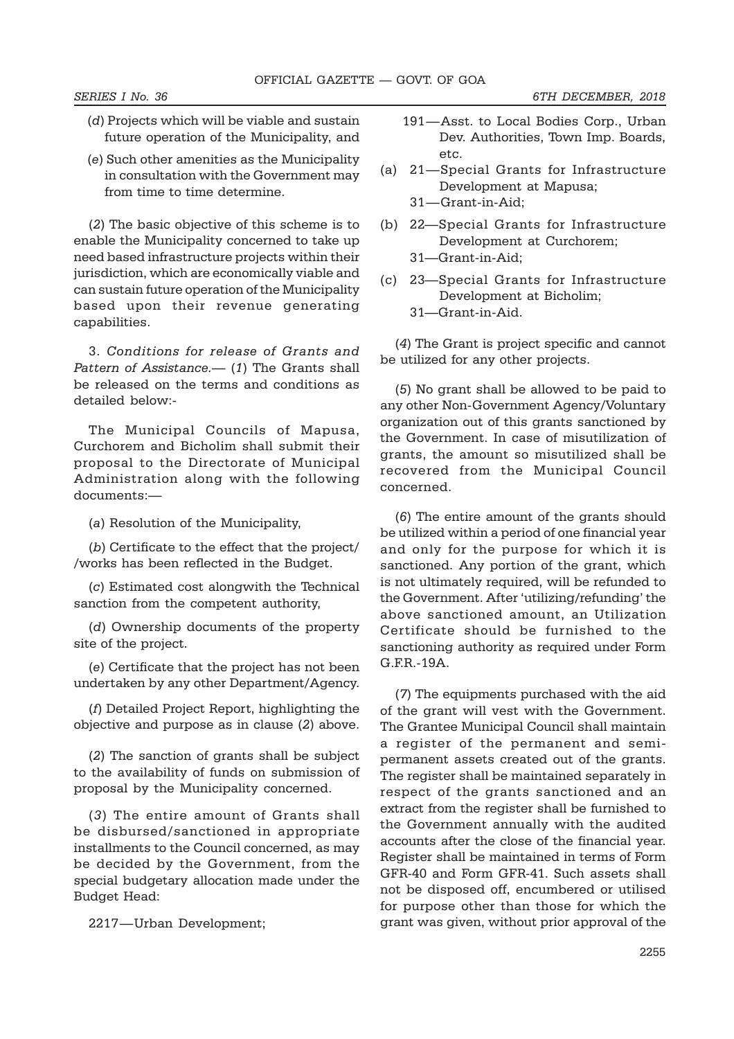- (d) Projects which will be viable and sustain future operation of the Municipality, and
- (e) Such other amenities as the Municipality in consultation with the Government may from time to time determine.

(2) The basic objective of this scheme is to enable the Municipality concerned to take up need based infrastructure projects within their jurisdiction, which are economically viable and can sustain future operation of the Municipality based upon their revenue generating capabilities.

3. Conditions for release of Grants and Pattern of Assistance.— (1) The Grants shall be released on the terms and conditions as detailed below:-

The Municipal Councils of Mapusa, Curchorem and Bicholim shall submit their proposal to the Directorate of Municipal Administration along with the following documents:—

(a) Resolution of the Municipality,

(b) Certificate to the effect that the project/ /works has been reflected in the Budget.

(c) Estimated cost alongwith the Technical sanction from the competent authority,

(d) Ownership documents of the property site of the project.

(e) Certificate that the project has not been undertaken by any other Department/Agency.

(f) Detailed Project Report, highlighting the objective and purpose as in clause (2) above.

(2) The sanction of grants shall be subject to the availability of funds on submission of proposal by the Municipality concerned.

(3) The entire amount of Grants shall be disbursed/sanctioned in appropriate installments to the Council concerned, as may be decided by the Government, from the special budgetary allocation made under the Budget Head:

2217—Urban Development;

- 191—Asst. to Local Bodies Corp., Urban Dev. Authorities, Town Imp. Boards, etc.
- (a) 21—Special Grants for Infrastructure Development at Mapusa; 31—Grant-in-Aid;
- (b) 22—Special Grants for Infrastructure Development at Curchorem;
	- 31—Grant-in-Aid;
- (c) 23—Special Grants for Infrastructure Development at Bicholim; 31—Grant-in-Aid.

(4) The Grant is project specific and cannot be utilized for any other projects.

(5) No grant shall be allowed to be paid to any other Non-Government Agency/Voluntary organization out of this grants sanctioned by the Government. In case of misutilization of grants, the amount so misutilized shall be recovered from the Municipal Council concerned.

(6) The entire amount of the grants should be utilized within a period of one financial year and only for the purpose for which it is sanctioned. Any portion of the grant, which is not ultimately required, will be refunded to the Government. After 'utilizing/refunding' the above sanctioned amount, an Utilization Certificate should be furnished to the sanctioning authority as required under Form G.F.R.-19A.

(7) The equipments purchased with the aid of the grant will vest with the Government. The Grantee Municipal Council shall maintain a register of the permanent and semipermanent assets created out of the grants. The register shall be maintained separately in respect of the grants sanctioned and an extract from the register shall be furnished to the Government annually with the audited accounts after the close of the financial year. Register shall be maintained in terms of Form GFR-40 and Form GFR-41. Such assets shall not be disposed off, encumbered or utilised for purpose other than those for which the grant was given, without prior approval of the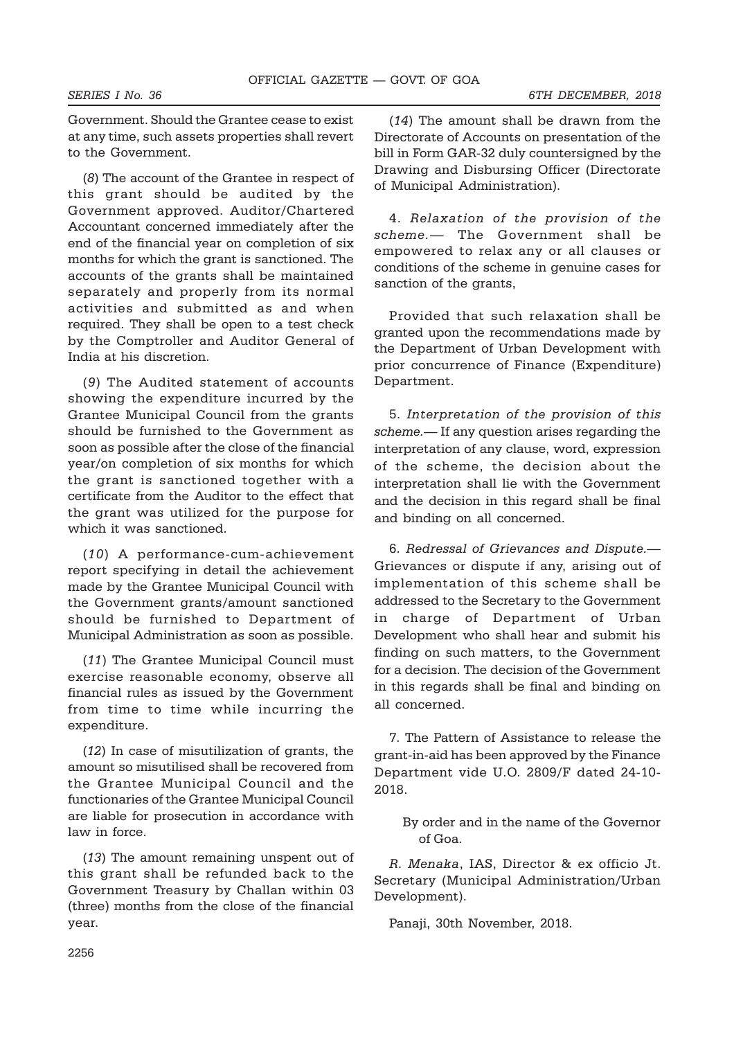Government. Should the Grantee cease to exist at any time, such assets properties shall revert to the Government.

(8) The account of the Grantee in respect of this grant should be audited by the Government approved. Auditor/Chartered Accountant concerned immediately after the end of the financial year on completion of six months for which the grant is sanctioned. The accounts of the grants shall be maintained separately and properly from its normal activities and submitted as and when required. They shall be open to a test check by the Comptroller and Auditor General of India at his discretion.

(9) The Audited statement of accounts showing the expenditure incurred by the Grantee Municipal Council from the grants should be furnished to the Government as soon as possible after the close of the financial year/on completion of six months for which the grant is sanctioned together with a certificate from the Auditor to the effect that the grant was utilized for the purpose for which it was sanctioned.

(10) A performance-cum-achievement report specifying in detail the achievement made by the Grantee Municipal Council with the Government grants/amount sanctioned should be furnished to Department of Municipal Administration as soon as possible.

(11) The Grantee Municipal Council must exercise reasonable economy, observe all financial rules as issued by the Government from time to time while incurring the expenditure.

(12) In case of misutilization of grants, the amount so misutilised shall be recovered from the Grantee Municipal Council and the functionaries of the Grantee Municipal Council are liable for prosecution in accordance with law in force.

(13) The amount remaining unspent out of this grant shall be refunded back to the Government Treasury by Challan within 03 (three) months from the close of the financial year.

(14) The amount shall be drawn from the Directorate of Accounts on presentation of the bill in Form GAR-32 duly countersigned by the Drawing and Disbursing Officer (Directorate of Municipal Administration).

4. Relaxation of the provision of the scheme.— The Government shall be empowered to relax any or all clauses or conditions of the scheme in genuine cases for sanction of the grants,

Provided that such relaxation shall be granted upon the recommendations made by the Department of Urban Development with prior concurrence of Finance (Expenditure) Department.

5. Interpretation of the provision of this scheme.— If any question arises regarding the interpretation of any clause, word, expression of the scheme, the decision about the interpretation shall lie with the Government and the decision in this regard shall be final and binding on all concerned.

6. Redressal of Grievances and Dispute.— Grievances or dispute if any, arising out of implementation of this scheme shall be addressed to the Secretary to the Government in charge of Department of Urban Development who shall hear and submit his finding on such matters, to the Government for a decision. The decision of the Government in this regards shall be final and binding on all concerned.

7. The Pattern of Assistance to release the grant-in-aid has been approved by the Finance Department vide U.O. 2809/F dated 24-10- 2018.

By order and in the name of the Governor of Goa.

R. Menaka, IAS, Director & ex officio Jt. Secretary (Municipal Administration/Urban Development).

Panaji, 30th November, 2018.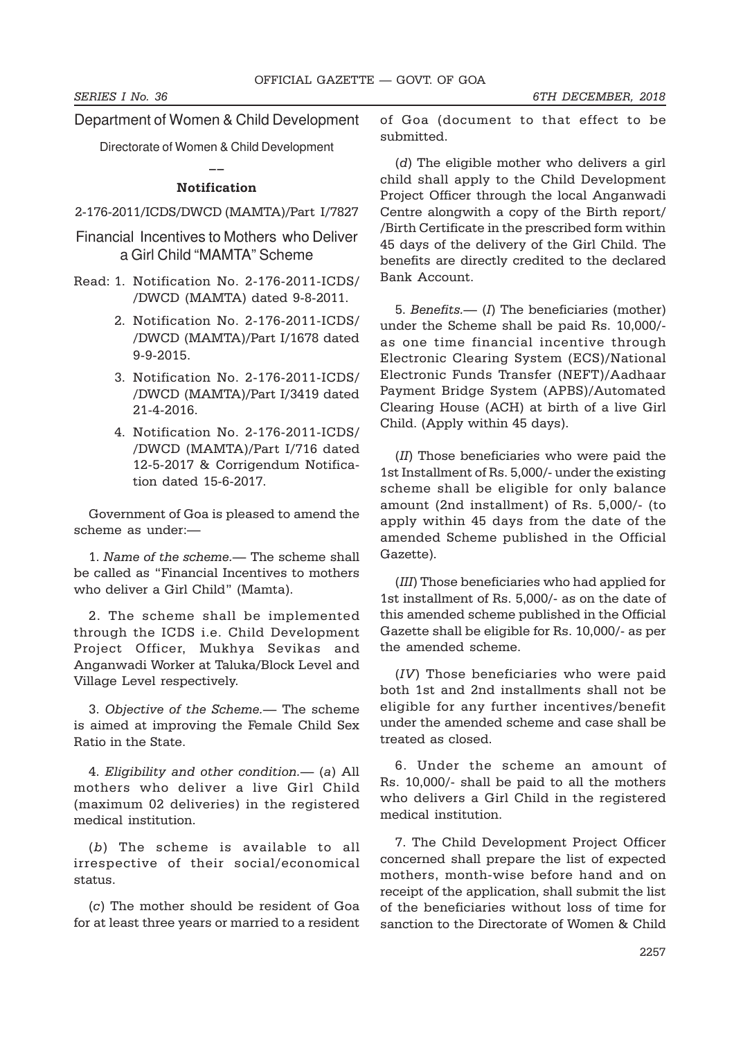Department of Women & Child Development

Directorate of Women & Child Development  $\overline{a}$ 

#### Notification

# 2-176-2011/ICDS/DWCD (MAMTA)/Part I/7827

- Financial Incentives to Mothers who Deliver a Girl Child "MAMTA" Scheme
- Read: 1. Notification No. 2-176-2011-ICDS/ /DWCD (MAMTA) dated 9-8-2011.
	- 2. Notification No. 2-176-2011-ICDS/ /DWCD (MAMTA)/Part I/1678 dated 9-9-2015.
	- 3. Notification No. 2-176-2011-ICDS/ /DWCD (MAMTA)/Part I/3419 dated 21-4-2016.
	- 4. Notification No. 2-176-2011-ICDS/ /DWCD (MAMTA)/Part I/716 dated 12-5-2017 & Corrigendum Notification dated 15-6-2017.

Government of Goa is pleased to amend the scheme as under:—

1. Name of the scheme.— The scheme shall be called as "Financial Incentives to mothers who deliver a Girl Child" (Mamta).

2. The scheme shall be implemented through the ICDS i.e. Child Development Project Officer, Mukhya Sevikas and Anganwadi Worker at Taluka/Block Level and Village Level respectively.

3. Objective of the Scheme.— The scheme is aimed at improving the Female Child Sex Ratio in the State.

4. Eligibility and other condition.— (a) All mothers who deliver a live Girl Child (maximum 02 deliveries) in the registered medical institution.

(b) The scheme is available to all irrespective of their social/economical status.

(c) The mother should be resident of Goa for at least three years or married to a resident of Goa (document to that effect to be submitted.

(d) The eligible mother who delivers a girl child shall apply to the Child Development Project Officer through the local Anganwadi Centre alongwith a copy of the Birth report/ /Birth Certificate in the prescribed form within 45 days of the delivery of the Girl Child. The benefits are directly credited to the declared Bank Account.

5. Benefits.—  $(I)$  The beneficiaries (mother) under the Scheme shall be paid Rs. 10,000/ as one time financial incentive through Electronic Clearing System (ECS)/National Electronic Funds Transfer (NEFT)/Aadhaar Payment Bridge System (APBS)/Automated Clearing House (ACH) at birth of a live Girl Child. (Apply within 45 days).

(II) Those beneficiaries who were paid the 1st Installment of Rs. 5,000/- under the existing scheme shall be eligible for only balance amount (2nd installment) of Rs. 5,000/- (to apply within 45 days from the date of the amended Scheme published in the Official Gazette).

(III) Those beneficiaries who had applied for 1st installment of Rs. 5,000/- as on the date of this amended scheme published in the Official Gazette shall be eligible for Rs. 10,000/- as per the amended scheme.

(IV) Those beneficiaries who were paid both 1st and 2nd installments shall not be eligible for any further incentives/benefit under the amended scheme and case shall be treated as closed.

6. Under the scheme an amount of Rs. 10,000/- shall be paid to all the mothers who delivers a Girl Child in the registered medical institution.

7. The Child Development Project Officer concerned shall prepare the list of expected mothers, month-wise before hand and on receipt of the application, shall submit the list of the beneficiaries without loss of time for sanction to the Directorate of Women & Child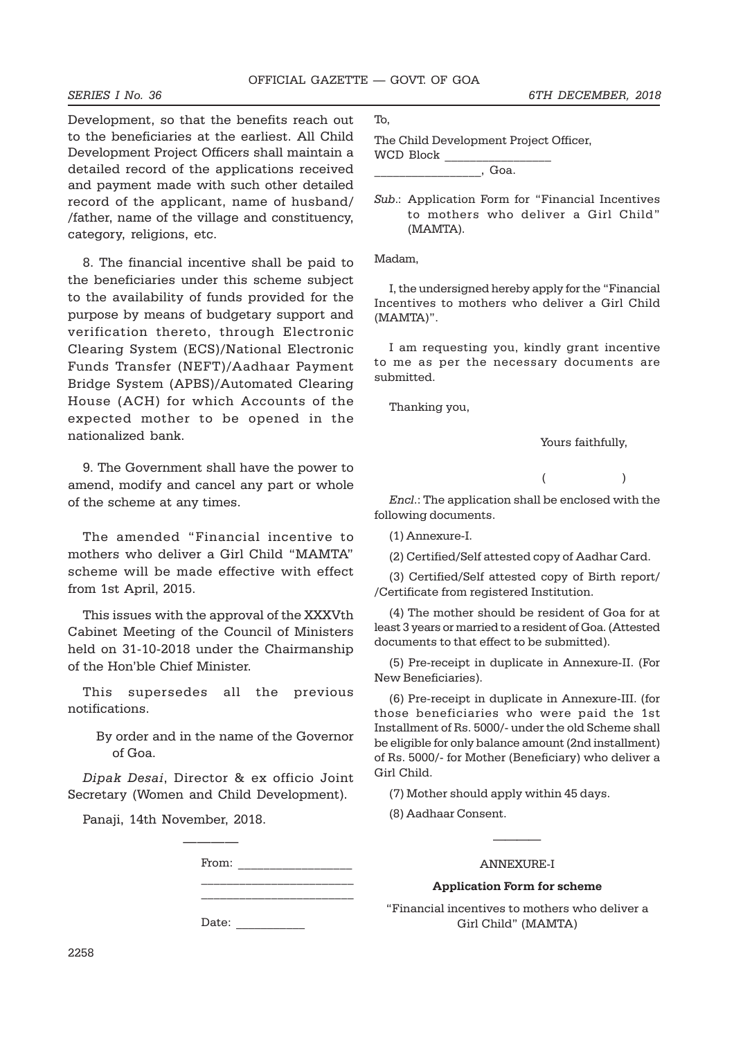Development, so that the benefits reach out to the beneficiaries at the earliest. All Child Development Project Officers shall maintain a detailed record of the applications received and payment made with such other detailed record of the applicant, name of husband/ /father, name of the village and constituency, category, religions, etc.

8. The financial incentive shall be paid to the beneficiaries under this scheme subject to the availability of funds provided for the purpose by means of budgetary support and verification thereto, through Electronic Clearing System (ECS)/National Electronic Funds Transfer (NEFT)/Aadhaar Payment Bridge System (APBS)/Automated Clearing House (ACH) for which Accounts of the expected mother to be opened in the nationalized bank.

9. The Government shall have the power to amend, modify and cancel any part or whole of the scheme at any times.

The amended "Financial incentive to mothers who deliver a Girl Child "MAMTA" scheme will be made effective with effect from 1st April, 2015.

This issues with the approval of the XXXVth Cabinet Meeting of the Council of Ministers held on 31-10-2018 under the Chairmanship of the Hon'ble Chief Minister.

This supersedes all the previous notifications.

By order and in the name of the Governor of Goa.

Dipak Desai, Director & ex officio Joint Secretary (Women and Child Development).

————

Panaji, 14th November, 2018.

From:

\_\_\_\_\_\_\_\_\_\_\_\_\_\_\_\_\_\_\_\_\_\_\_\_

\_\_\_\_\_\_\_\_\_\_\_\_\_\_\_\_\_\_\_\_\_\_\_\_

Date:

To,

The Child Development Project Officer, WCD Block

 $\overline{\phantom{a}}$ , Goa.

Sub.: Application Form for "Financial Incentives to mothers who deliver a Girl Child" (MAMTA).

Madam,

I, the undersigned hereby apply for the "Financial Incentives to mothers who deliver a Girl Child (MAMTA)".

I am requesting you, kindly grant incentive to me as per the necessary documents are submitted.

Thanking you,

Yours faithfully,

 $($ 

Encl.: The application shall be enclosed with the following documents.

(1) Annexure-I.

(2) Certified/Self attested copy of Aadhar Card.

(3) Certified/Self attested copy of Birth report/ /Certificate from registered Institution.

(4) The mother should be resident of Goa for at least 3 years or married to a resident of Goa. (Attested documents to that effect to be submitted).

(5) Pre-receipt in duplicate in Annexure-II. (For New Beneficiaries).

(6) Pre-receipt in duplicate in Annexure-III. (for those beneficiaries who were paid the 1st Installment of Rs. 5000/- under the old Scheme shall be eligible for only balance amount (2nd installment) of Rs. 5000/- for Mother (Beneficiary) who deliver a Girl Child.

(7) Mother should apply within 45 days.

(8) Aadhaar Consent.

#### ANNEXURE-I

————

#### Application Form for scheme

"Financial incentives to mothers who deliver a Girl Child" (MAMTA)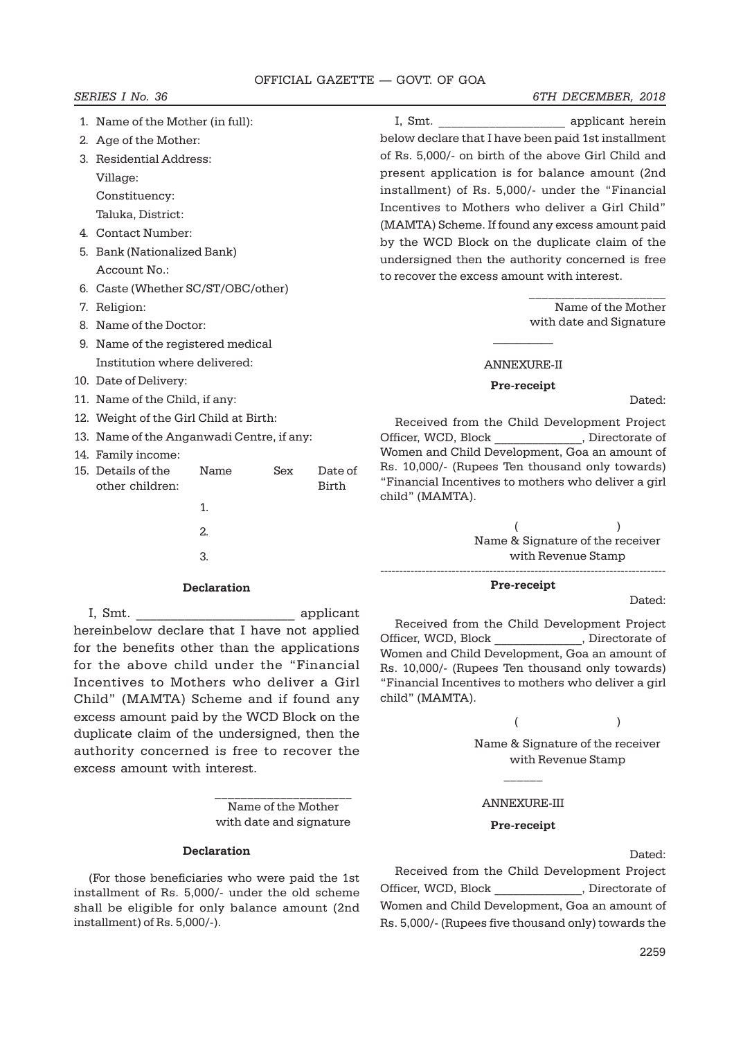### OFFICIAL GAZETTE — GOVT. OF GOA

#### SERIES I No. 36 6TH DECEMBER, 2018

- 1. Name of the Mother (in full):
- 2. Age of the Mother:
- 3. Residential Address: Village:
	- Constituency:
- Taluka, District:
- 4. Contact Number:
- 5. Bank (Nationalized Bank) Account No.:
- 6. Caste (Whether SC/ST/OBC/other)
- 7. Religion:
- 8. Name of the Doctor:
- 9. Name of the registered medical Institution where delivered:
- 10. Date of Delivery:
- 11. Name of the Child, if any:
- 12. Weight of the Girl Child at Birth:
- 13. Name of the Anganwadi Centre, if any:
- 14. Family income:
- 15. Details of the Name Sex Date of other children: Birth
	- 1.  $\overline{2}$
	- 3.

# Declaration

I, Smt.  $\qquad \qquad \text{application}$ hereinbelow declare that I have not applied for the benefits other than the applications for the above child under the "Financial Incentives to Mothers who deliver a Girl Child" (MAMTA) Scheme and if found any excess amount paid by the WCD Block on the duplicate claim of the undersigned, then the authority concerned is free to recover the excess amount with interest.

> \_\_\_\_\_\_\_\_\_\_\_\_\_\_\_\_\_\_\_\_\_ Name of the Mother with date and signature

#### Declaration

(For those beneficiaries who were paid the 1st installment of Rs. 5,000/- under the old scheme shall be eligible for only balance amount (2nd installment) of Rs. 5,000/-).

I, Smt.  $\qquad \qquad \text{applicant herein}$ below declare that I have been paid 1st installment of Rs. 5,000/- on birth of the above Girl Child and present application is for balance amount (2nd installment) of Rs. 5,000/- under the "Financial Incentives to Mothers who deliver a Girl Child" (MAMTA) Scheme. If found any excess amount paid by the WCD Block on the duplicate claim of the undersigned then the authority concerned is free to recover the excess amount with interest.

> \_\_\_\_\_\_\_\_\_\_\_\_\_\_\_\_\_\_\_\_\_ Name of the Mother with date and Signature

# ————— ANNEXURE-II

#### Pre-receipt

Dated:

Received from the Child Development Project Officer, WCD, Block \_\_\_\_\_\_\_\_\_\_\_\_\_, Directorate of Women and Child Development, Goa an amount of Rs. 10,000/- (Rupees Ten thousand only towards) "Financial Incentives to mothers who deliver a girl child" (MAMTA).

> $($ Name & Signature of the receiver with Revenue Stamp ----------------------------------------------------------------------------

#### Pre-receipt

Dated:

Received from the Child Development Project Officer, WCD, Block \_\_\_\_\_\_\_\_\_\_\_\_\_\_, Directorate of Women and Child Development, Goa an amount of Rs. 10,000/- (Rupees Ten thousand only towards) "Financial Incentives to mothers who deliver a girl child" (MAMTA).

> $($ Name & Signature of the receiver with Revenue Stamp

#### ANNEXURE-III

 $\overline{\phantom{a}}$ 

#### Pre-receipt

Dated:

Received from the Child Development Project Officer, WCD, Block [1] . Directorate of Women and Child Development, Goa an amount of Rs. 5,000/- (Rupees five thousand only) towards the